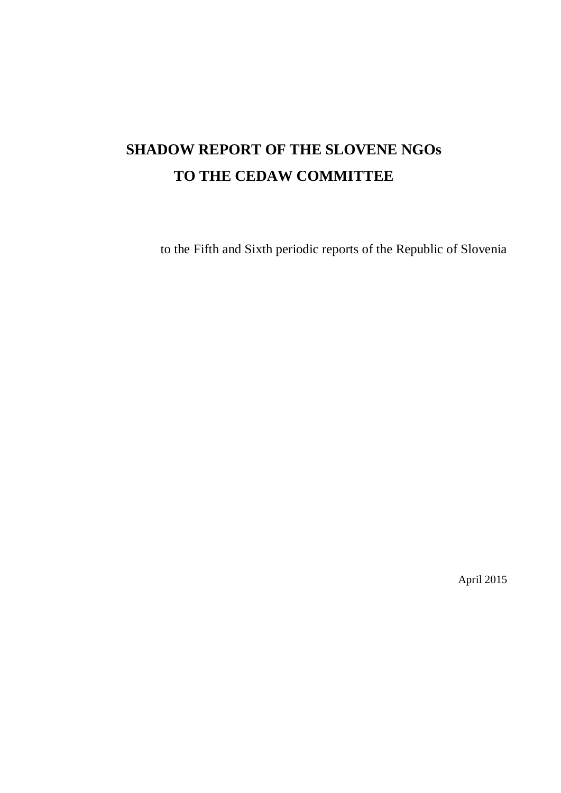# **SHADOW REPORT OF THE SLOVENE NGOs TO THE CEDAW COMMITTEE**

to the Fifth and Sixth periodic reports of the Republic of Slovenia

April 2015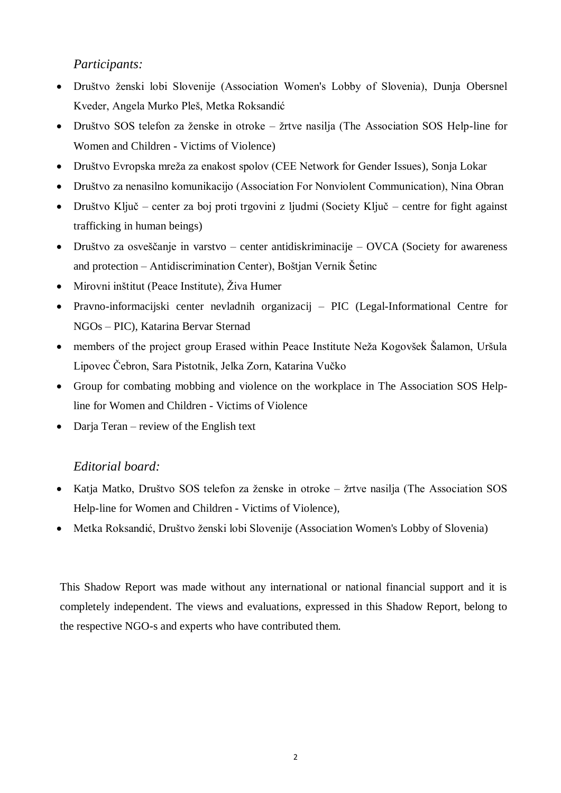## *Participants:*

- · Društvo ženski lobi Slovenije (Association Women's Lobby of Slovenia), Dunja Obersnel Kveder, Angela Murko Pleš, Metka Roksandić
- Društvo SOS telefon za ženske in otroke žrtve nasilja (The Association SOS Help-line for Women and Children - Victims of Violence)
- Društvo Evropska mreža za enakost spolov (CEE Network for Gender Issues), Sonja Lokar
- Društvo za nenasilno komunikacijo (Association For Nonviolent Communication), Nina Obran
- Društvo Ključ center za boj proti trgovini z ljudmi (Society Ključ centre for fight against trafficking in human beings)
- Društvo za osveščanje in varstvo center antidiskriminacije OVCA (Society for awareness and protection – Antidiscrimination Center), Boštjan Vernik Šetinc
- Mirovni inštitut (Peace Institute), Živa Humer
- Pravno-informacijski center nevladnih organizacij PIC (Legal-Informational Centre for NGOs – PIC), Katarina Bervar Sternad
- members of the project group Erased within Peace Institute Neža Kogovšek Šalamon, Uršula Lipovec Čebron, Sara Pistotnik, Jelka Zorn, Katarina Vučko
- Group for combating mobbing and violence on the workplace in The Association SOS Helpline for Women and Children - Victims of Violence
- Darja Teran review of the English text

## *Editorial board:*

- Katja Matko, Društvo SOS telefon za ženske in otroke žrtve nasilja (The Association SOS Help-line for Women and Children - Victims of Violence)*,*
- Metka Roksandić, Društvo ženski lobi Slovenije (Association Women's Lobby of Slovenia)

This Shadow Report was made without any international or national financial support and it is completely independent. The views and evaluations, expressed in this Shadow Report, belong to the respective NGO-s and experts who have contributed them.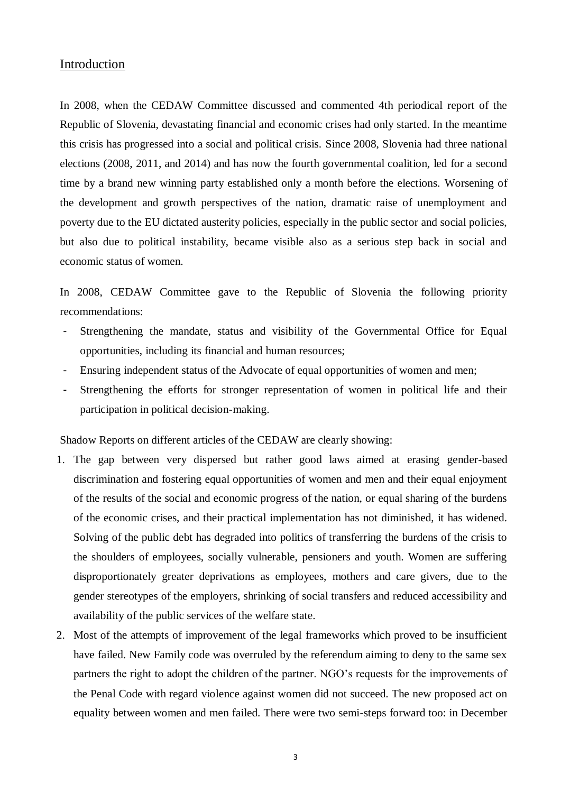#### Introduction

In 2008, when the CEDAW Committee discussed and commented 4th periodical report of the Republic of Slovenia, devastating financial and economic crises had only started. In the meantime this crisis has progressed into a social and political crisis. Since 2008, Slovenia had three national elections (2008, 2011, and 2014) and has now the fourth governmental coalition, led for a second time by a brand new winning party established only a month before the elections. Worsening of the development and growth perspectives of the nation, dramatic raise of unemployment and poverty due to the EU dictated austerity policies, especially in the public sector and social policies, but also due to political instability, became visible also as a serious step back in social and economic status of women.

In 2008, CEDAW Committee gave to the Republic of Slovenia the following priority recommendations:

- Strengthening the mandate, status and visibility of the Governmental Office for Equal opportunities, including its financial and human resources;
- Ensuring independent status of the Advocate of equal opportunities of women and men;
- Strengthening the efforts for stronger representation of women in political life and their participation in political decision-making.

Shadow Reports on different articles of the CEDAW are clearly showing:

- 1. The gap between very dispersed but rather good laws aimed at erasing gender-based discrimination and fostering equal opportunities of women and men and their equal enjoyment of the results of the social and economic progress of the nation, or equal sharing of the burdens of the economic crises, and their practical implementation has not diminished, it has widened. Solving of the public debt has degraded into politics of transferring the burdens of the crisis to the shoulders of employees, socially vulnerable, pensioners and youth. Women are suffering disproportionately greater deprivations as employees, mothers and care givers, due to the gender stereotypes of the employers, shrinking of social transfers and reduced accessibility and availability of the public services of the welfare state.
- 2. Most of the attempts of improvement of the legal frameworks which proved to be insufficient have failed. New Family code was overruled by the referendum aiming to deny to the same sex partners the right to adopt the children of the partner. NGO's requests for the improvements of the Penal Code with regard violence against women did not succeed. The new proposed act on equality between women and men failed. There were two semi-steps forward too: in December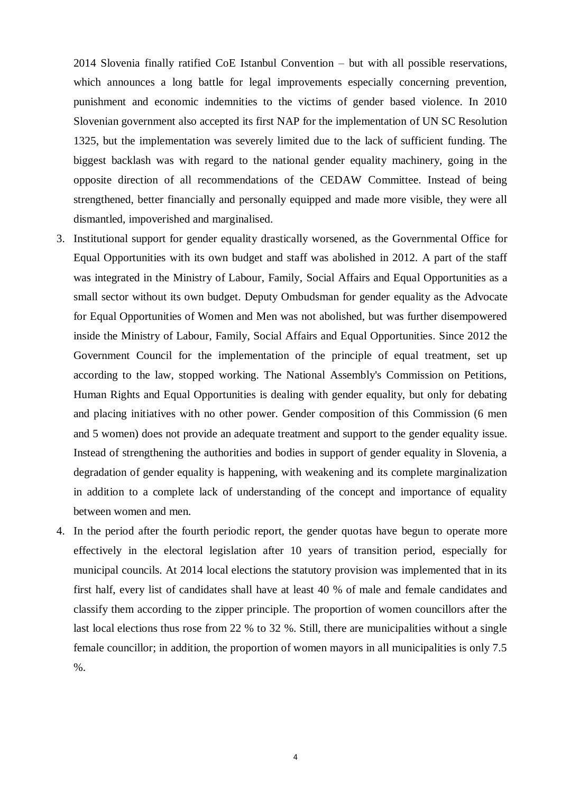2014 Slovenia finally ratified CoE Istanbul Convention – but with all possible reservations, which announces a long battle for legal improvements especially concerning prevention, punishment and economic indemnities to the victims of gender based violence. In 2010 Slovenian government also accepted its first NAP for the implementation of UN SC Resolution 1325, but the implementation was severely limited due to the lack of sufficient funding. The biggest backlash was with regard to the national gender equality machinery, going in the opposite direction of all recommendations of the CEDAW Committee. Instead of being strengthened, better financially and personally equipped and made more visible, they were all dismantled, impoverished and marginalised.

- 3. Institutional support for gender equality drastically worsened, as the Governmental Office for Equal Opportunities with its own budget and staff was abolished in 2012. A part of the staff was integrated in the Ministry of Labour, Family, Social Affairs and Equal Opportunities as a small sector without its own budget. Deputy Ombudsman for gender equality as the Advocate for Equal Opportunities of Women and Men was not abolished, but was further disempowered inside the Ministry of Labour, Family, Social Affairs and Equal Opportunities. Since 2012 the Government Council for the implementation of the principle of equal treatment, set up according to the law, stopped working. The National Assembly's Commission on Petitions, Human Rights and Equal Opportunities is dealing with gender equality, but only for debating and placing initiatives with no other power. Gender composition of this Commission (6 men and 5 women) does not provide an adequate treatment and support to the gender equality issue. Instead of strengthening the authorities and bodies in support of gender equality in Slovenia, a degradation of gender equality is happening, with weakening and its complete marginalization in addition to a complete lack of understanding of the concept and importance of equality between women and men.
- 4. In the period after the fourth periodic report, the gender quotas have begun to operate more effectively in the electoral legislation after 10 years of transition period, especially for municipal councils. At 2014 local elections the statutory provision was implemented that in its first half, every list of candidates shall have at least 40 % of male and female candidates and classify them according to the zipper principle. The proportion of women councillors after the last local elections thus rose from 22 % to 32 %. Still, there are municipalities without a single female councillor; in addition, the proportion of women mayors in all municipalities is only 7.5 %.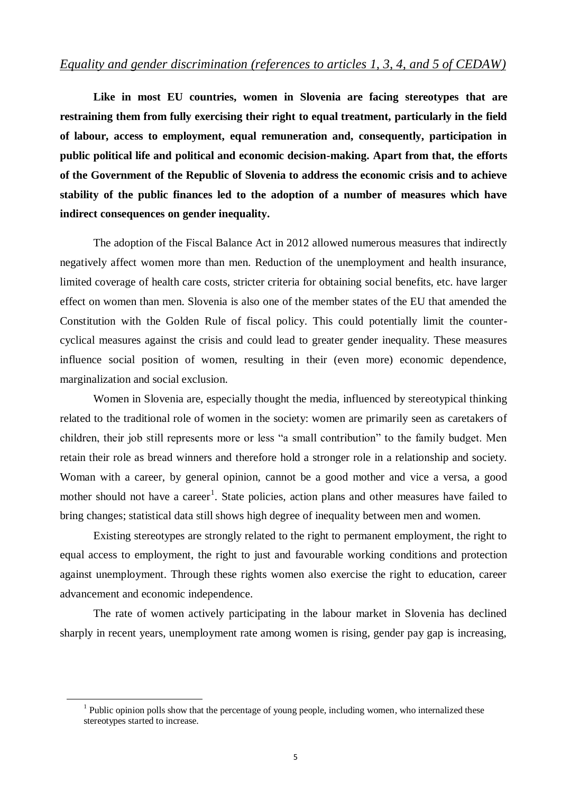## *Equality and gender discrimination (references to articles 1, 3, 4, and 5 of CEDAW)*

**Like in most EU countries, women in Slovenia are facing stereotypes that are restraining them from fully exercising their right to equal treatment, particularly in the field of labour, access to employment, equal remuneration and, consequently, participation in public political life and political and economic decision-making. Apart from that, the efforts of the Government of the Republic of Slovenia to address the economic crisis and to achieve stability of the public finances led to the adoption of a number of measures which have indirect consequences on gender inequality.**

The adoption of the Fiscal Balance Act in 2012 allowed numerous measures that indirectly negatively affect women more than men. Reduction of the unemployment and health insurance, limited coverage of health care costs, stricter criteria for obtaining social benefits, etc. have larger effect on women than men. Slovenia is also one of the member states of the EU that amended the Constitution with the Golden Rule of fiscal policy. This could potentially limit the countercyclical measures against the crisis and could lead to greater gender inequality. These measures influence social position of women, resulting in their (even more) economic dependence, marginalization and social exclusion.

Women in Slovenia are, especially thought the media, influenced by stereotypical thinking related to the traditional role of women in the society: women are primarily seen as caretakers of children, their job still represents more or less "a small contribution" to the family budget. Men retain their role as bread winners and therefore hold a stronger role in a relationship and society. Woman with a career, by general opinion, cannot be a good mother and vice a versa, a good mother should not have a career<sup>1</sup>. State policies, action plans and other measures have failed to bring changes; statistical data still shows high degree of inequality between men and women.

Existing stereotypes are strongly related to the right to permanent employment, the right to equal access to employment, the right to just and favourable working conditions and protection against unemployment. Through these rights women also exercise the right to education, career advancement and economic independence.

The rate of women actively participating in the labour market in Slovenia has declined sharply in recent years, unemployment rate among women is rising, gender pay gap is increasing,

<u>.</u>

 $<sup>1</sup>$  Public opinion polls show that the percentage of young people, including women, who internalized these</sup> stereotypes started to increase.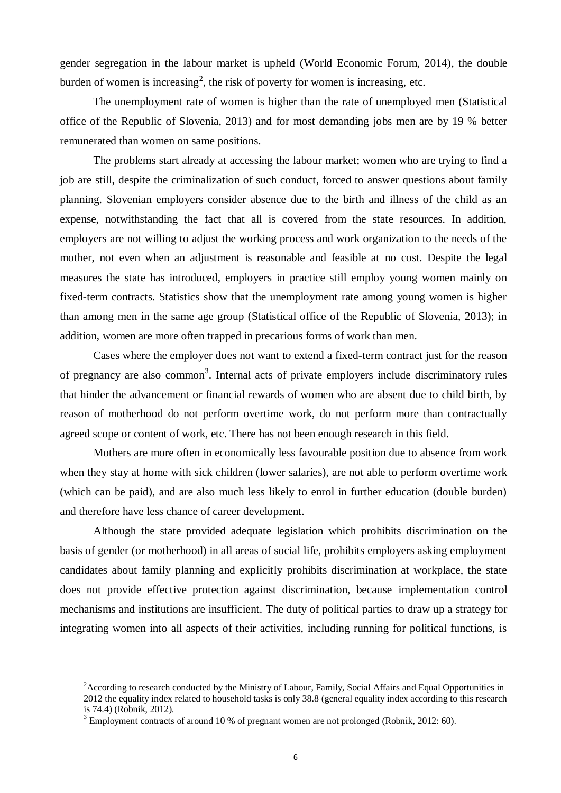gender segregation in the labour market is upheld (World Economic Forum, 2014), the double burden of women is increasing<sup>2</sup>, the risk of poverty for women is increasing, etc.

The unemployment rate of women is higher than the rate of unemployed men (Statistical office of the Republic of Slovenia, 2013) and for most demanding jobs men are by 19 % better remunerated than women on same positions.

The problems start already at accessing the labour market; women who are trying to find a job are still, despite the criminalization of such conduct, forced to answer questions about family planning. Slovenian employers consider absence due to the birth and illness of the child as an expense, notwithstanding the fact that all is covered from the state resources. In addition, employers are not willing to adjust the working process and work organization to the needs of the mother, not even when an adjustment is reasonable and feasible at no cost. Despite the legal measures the state has introduced, employers in practice still employ young women mainly on fixed-term contracts. Statistics show that the unemployment rate among young women is higher than among men in the same age group (Statistical office of the Republic of Slovenia, 2013); in addition, women are more often trapped in precarious forms of work than men.

Cases where the employer does not want to extend a fixed-term contract just for the reason of pregnancy are also common<sup>3</sup>. Internal acts of private employers include discriminatory rules that hinder the advancement or financial rewards of women who are absent due to child birth, by reason of motherhood do not perform overtime work, do not perform more than contractually agreed scope or content of work, etc. There has not been enough research in this field.

Mothers are more often in economically less favourable position due to absence from work when they stay at home with sick children (lower salaries), are not able to perform overtime work (which can be paid), and are also much less likely to enrol in further education (double burden) and therefore have less chance of career development.

Although the state provided adequate legislation which prohibits discrimination on the basis of gender (or motherhood) in all areas of social life, prohibits employers asking employment candidates about family planning and explicitly prohibits discrimination at workplace, the state does not provide effective protection against discrimination, because implementation control mechanisms and institutions are insufficient. The duty of political parties to draw up a strategy for integrating women into all aspects of their activities, including running for political functions, is

<u>.</u>

<sup>&</sup>lt;sup>2</sup> According to research conducted by the Ministry of Labour, Family, Social Affairs and Equal Opportunities in 2012 the equality index related to household tasks is only 38.8 (general equality index according to this research is 74.4) (Robnik, 2012).

 $3$  Employment contracts of around 10 % of pregnant women are not prolonged (Robnik, 2012: 60).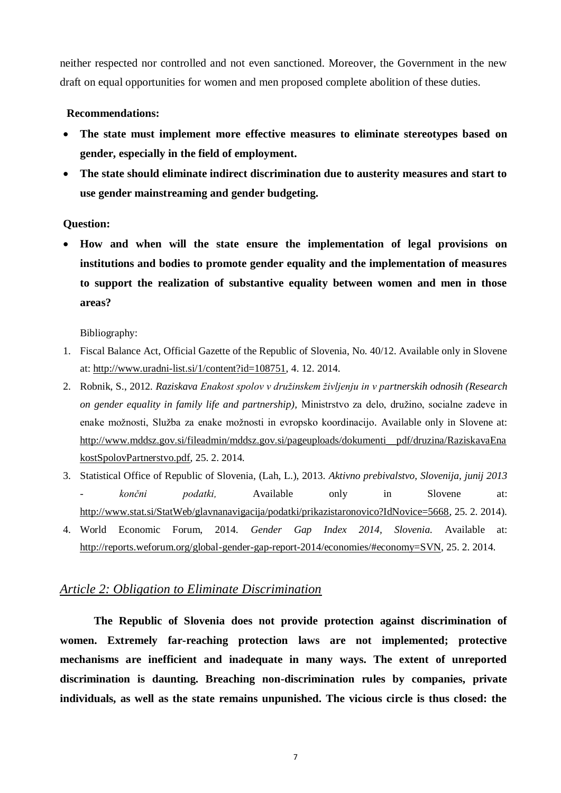neither respected nor controlled and not even sanctioned. Moreover, the Government in the new draft on equal opportunities for women and men proposed complete abolition of these duties.

#### **Recommendations:**

- **The state must implement more effective measures to eliminate stereotypes based on gender, especially in the field of employment.**
- **The state should eliminate indirect discrimination due to austerity measures and start to use gender mainstreaming and gender budgeting.**

#### **Question:**

 **How and when will the state ensure the implementation of legal provisions on institutions and bodies to promote gender equality and the implementation of measures to support the realization of substantive equality between women and men in those areas?**

Bibliography:

- 1. Fiscal Balance Act, Official Gazette of the Republic of Slovenia, No. 40/12. Available only in Slovene at: [http://www.uradni-list.si/1/content?id=108751,](http://www.uradni-list.si/1/content?id=108751) 4. 12. 2014.
- 2. Robnik, S., 2012*. Raziskava Enakost spolov v družinskem življenju in v partnerskih odnosih (Research on gender equality in family life and partnership)*, Ministrstvo za delo, družino, socialne zadeve in enake možnosti, Služba za enake možnosti in evropsko koordinacijo. Available only in Slovene at: [http://www.mddsz.gov.si/fileadmin/mddsz.gov.si/pageuploads/dokumenti\\_\\_pdf/druzina/RaziskavaEna](http://www.mddsz.gov.si/fileadmin/mddsz.gov.si/pageuploads/dokumenti__pdf/druzina/RaziskavaEnakostSpolovPartnerstvo.pdf) [kostSpolovPartnerstvo.pdf,](http://www.mddsz.gov.si/fileadmin/mddsz.gov.si/pageuploads/dokumenti__pdf/druzina/RaziskavaEnakostSpolovPartnerstvo.pdf) 25. 2. 2014.
- 3. Statistical Office of Republic of Slovenia, (Lah, L.), 2013. *Aktivno prebivalstvo, Slovenija, junij 2013 - končni podatki,* Available only in Slovene at: [http://www.stat.si/StatWeb/glavnanavigacija/podatki/prikazistaronovico?IdNovice=5668,](http://www.stat.si/StatWeb/glavnanavigacija/podatki/prikazistaronovico?IdNovice=5668) 25. 2. 2014).
- 4. World Economic Forum, 2014. *Gender Gap Index 2014, Slovenia.* Available at: [http://reports.weforum.org/global-gender-gap-report-2014/economies/#economy=SVN,](http://reports.weforum.org/global-gender-gap-report-2014/economies/#economy=SVN) 25. 2. 2014.

## *Article 2: Obligation to Eliminate Discrimination*

**The Republic of Slovenia does not provide protection against discrimination of women. Extremely far-reaching protection laws are not implemented; protective mechanisms are inefficient and inadequate in many ways. The extent of unreported discrimination is daunting. Breaching non-discrimination rules by companies, private individuals, as well as the state remains unpunished. The vicious circle is thus closed: the**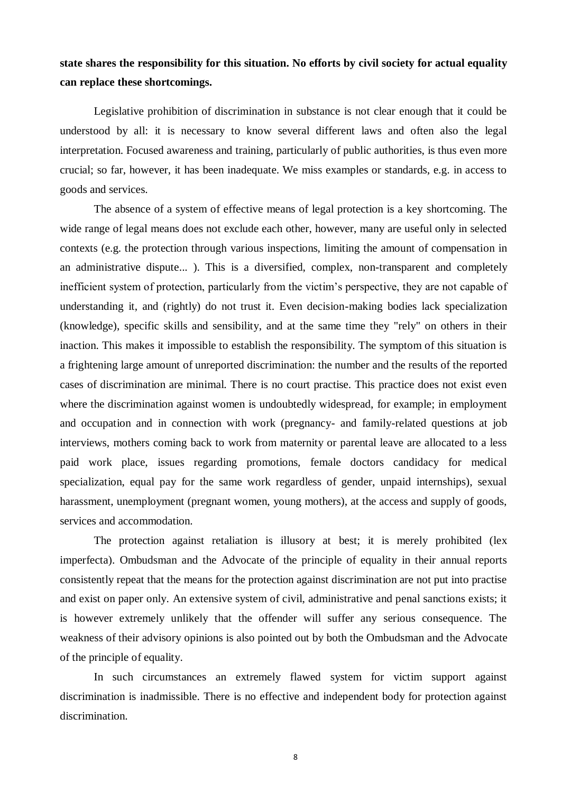## **state shares the responsibility for this situation. No efforts by civil society for actual equality can replace these shortcomings.**

Legislative prohibition of discrimination in substance is not clear enough that it could be understood by all: it is necessary to know several different laws and often also the legal interpretation. Focused awareness and training, particularly of public authorities, is thus even more crucial; so far, however, it has been inadequate. We miss examples or standards, e.g. in access to goods and services.

The absence of a system of effective means of legal protection is a key shortcoming. The wide range of legal means does not exclude each other, however, many are useful only in selected contexts (e.g. the protection through various inspections, limiting the amount of compensation in an administrative dispute... ). This is a diversified, complex, non-transparent and completely inefficient system of protection, particularly from the victim's perspective, they are not capable of understanding it, and (rightly) do not trust it. Even decision-making bodies lack specialization (knowledge), specific skills and sensibility, and at the same time they "rely" on others in their inaction. This makes it impossible to establish the responsibility. The symptom of this situation is a frightening large amount of unreported discrimination: the number and the results of the reported cases of discrimination are minimal. There is no court practise. This practice does not exist even where the discrimination against women is undoubtedly widespread, for example; in employment and occupation and in connection with work (pregnancy- and family-related questions at job interviews, mothers coming back to work from maternity or parental leave are allocated to a less paid work place, issues regarding promotions, female doctors candidacy for medical specialization, equal pay for the same work regardless of gender, unpaid internships), sexual harassment, unemployment (pregnant women, young mothers), at the access and supply of goods, services and accommodation.

The protection against retaliation is illusory at best; it is merely prohibited (lex imperfecta). Ombudsman and the Advocate of the principle of equality in their annual reports consistently repeat that the means for the protection against discrimination are not put into practise and exist on paper only. An extensive system of civil, administrative and penal sanctions exists; it is however extremely unlikely that the offender will suffer any serious consequence. The weakness of their advisory opinions is also pointed out by both the Ombudsman and the Advocate of the principle of equality.

In such circumstances an extremely flawed system for victim support against discrimination is inadmissible. There is no effective and independent body for protection against discrimination.

8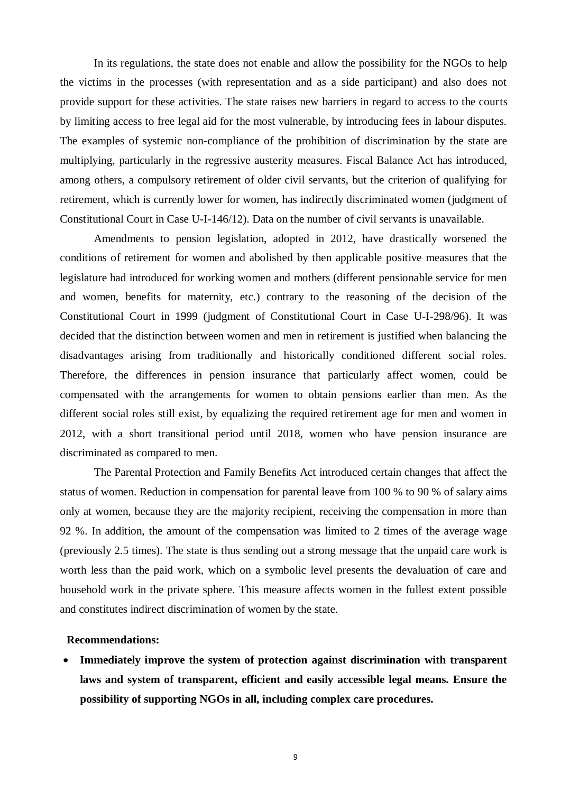In its regulations, the state does not enable and allow the possibility for the NGOs to help the victims in the processes (with representation and as a side participant) and also does not provide support for these activities. The state raises new barriers in regard to access to the courts by limiting access to free legal aid for the most vulnerable, by introducing fees in labour disputes. The examples of systemic non-compliance of the prohibition of discrimination by the state are multiplying, particularly in the regressive austerity measures. Fiscal Balance Act has introduced, among others, a compulsory retirement of older civil servants, but the criterion of qualifying for retirement, which is currently lower for women, has indirectly discriminated women (judgment of Constitutional Court in Case U-I-146/12). Data on the number of civil servants is unavailable.

Amendments to pension legislation, adopted in 2012, have drastically worsened the conditions of retirement for women and abolished by then applicable positive measures that the legislature had introduced for working women and mothers (different pensionable service for men and women, benefits for maternity, etc.) contrary to the reasoning of the decision of the Constitutional Court in 1999 (judgment of Constitutional Court in Case U-I-298/96). It was decided that the distinction between women and men in retirement is justified when balancing the disadvantages arising from traditionally and historically conditioned different social roles. Therefore, the differences in pension insurance that particularly affect women, could be compensated with the arrangements for women to obtain pensions earlier than men. As the different social roles still exist, by equalizing the required retirement age for men and women in 2012, with a short transitional period until 2018, women who have pension insurance are discriminated as compared to men.

The Parental Protection and Family Benefits Act introduced certain changes that affect the status of women. Reduction in compensation for parental leave from 100 % to 90 % of salary aims only at women, because they are the majority recipient, receiving the compensation in more than 92 %. In addition, the amount of the compensation was limited to 2 times of the average wage (previously 2.5 times). The state is thus sending out a strong message that the unpaid care work is worth less than the paid work, which on a symbolic level presents the devaluation of care and household work in the private sphere. This measure affects women in the fullest extent possible and constitutes indirect discrimination of women by the state.

#### **Recommendations:**

 **Immediately improve the system of protection against discrimination with transparent laws and system of transparent, efficient and easily accessible legal means. Ensure the possibility of supporting NGOs in all, including complex care procedures.**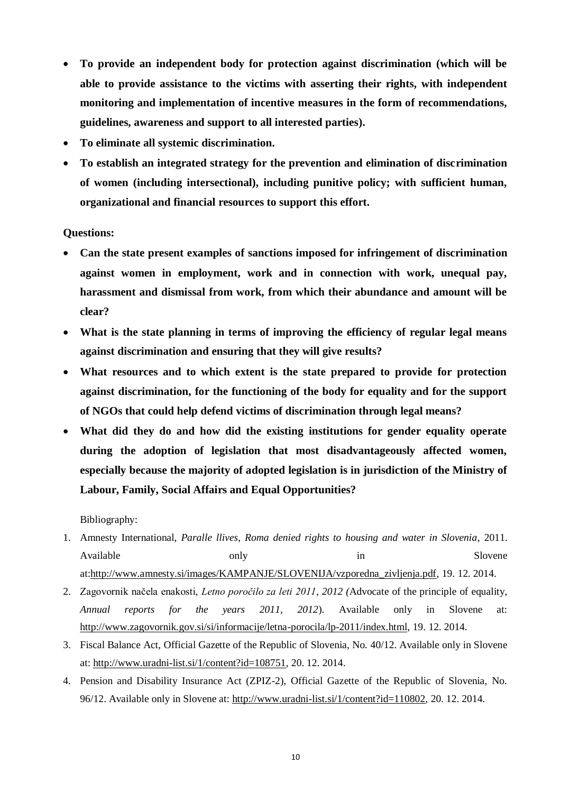- **To provide an independent body for protection against discrimination (which will be able to provide assistance to the victims with asserting their rights, with independent monitoring and implementation of incentive measures in the form of recommendations, guidelines, awareness and support to all interested parties).**
- **To eliminate all systemic discrimination.**
- **To establish an integrated strategy for the prevention and elimination of discrimination of women (including intersectional), including punitive policy; with sufficient human, organizational and financial resources to support this effort.**

#### **Questions:**

- **Can the state present examples of sanctions imposed for infringement of discrimination against women in employment, work and in connection with work, unequal pay, harassment and dismissal from work, from which their abundance and amount will be clear?**
- **What is the state planning in terms of improving the efficiency of regular legal means against discrimination and ensuring that they will give results?**
- **What resources and to which extent is the state prepared to provide for protection against discrimination, for the functioning of the body for equality and for the support of NGOs that could help defend victims of discrimination through legal means?**
- **What did they do and how did the existing institutions for gender equality operate during the adoption of legislation that most disadvantageously affected women, especially because the majority of adopted legislation is in jurisdiction of the Ministry of Labour, Family, Social Affairs and Equal Opportunities?**

Bibliography:

- 1. Amnesty International, *Paralle llives, Roma denied rights to housing and water in Slovenia*, 2011. Available only only in Slovene at[:http://www.amnesty.si/images/KAMPANJE/SLOVENIJA/vzporedna\\_zivljenja.pdf,](http://www.amnesty.si/images/KAMPANJE/SLOVENIJA/vzporedna_zivljenja.pdf) 19. 12. 2014.
- 2. Zagovornik načela enakosti, *Letno poročilo za leti 2011*, *2012 (*Advocate of the principle of equality, *Annual reports for the years 2011, 2012*). Available only in Slovene at: [http://www.zagovornik.gov.si/si/informacije/letna-porocila/lp-2011/index.html,](http://www.zagovornik.gov.si/si/informacije/letna-porocila/lp-2011/index.html) 19. 12. 2014.
- 3. Fiscal Balance Act, Official Gazette of the Republic of Slovenia, No. 40/12. Available only in Slovene at: [http://www.uradni-list.si/1/content?id=108751,](http://www.uradni-list.si/1/content?id=108751) 20. 12. 2014.
- 4. Pension and Disability Insurance Act (ZPIZ-2), Official Gazette of the Republic of Slovenia, No. 96/12. Available only in Slovene at: [http://www.uradni-list.si/1/content?id=110802,](http://www.uradni-list.si/1/content?id=110802) 20. 12. 2014.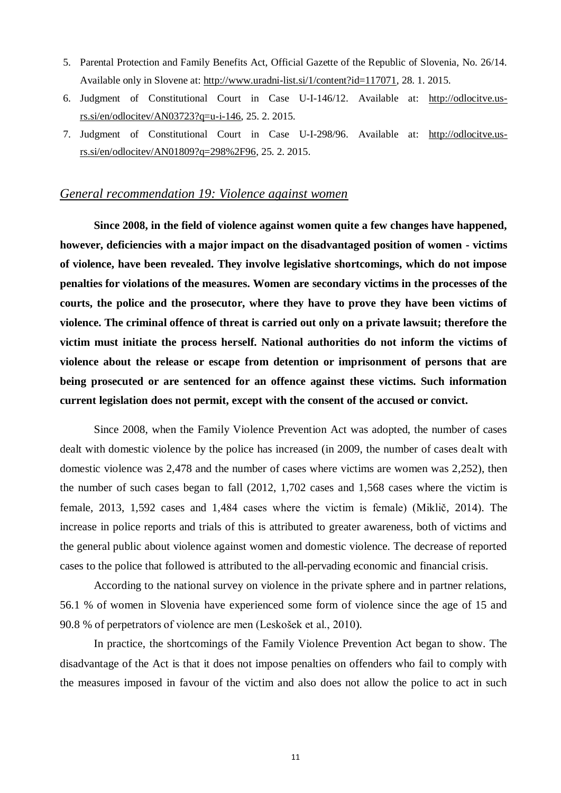- 5. Parental Protection and Family Benefits Act, Official Gazette of the Republic of Slovenia, No. 26/14. Available only in Slovene at: [http://www.uradni-list.si/1/content?id=117071,](http://www.uradni-list.si/1/content?id=117071) 28. 1. 2015.
- 6. Judgment of Constitutional Court in Case U-I-146/12. Available at: [http://odlocitve.us](http://odlocitve.us-rs.si/en/odlocitev/AN03723?q=u-i-146)[rs.si/en/odlocitev/AN03723?q=u-i-146,](http://odlocitve.us-rs.si/en/odlocitev/AN03723?q=u-i-146) 25. 2. 2015.
- 7. Judgment of Constitutional Court in Case U-I-298/96. Available at: [http://odlocitve.us](http://odlocitve.us-rs.si/en/odlocitev/AN01809?q=298%2F96)[rs.si/en/odlocitev/AN01809?q=298%2F96,](http://odlocitve.us-rs.si/en/odlocitev/AN01809?q=298%2F96) 25. 2. 2015.

## *General recommendation 19: Violence against women*

**Since 2008, in the field of violence against women quite a few changes have happened, however, deficiencies with a major impact on the disadvantaged position of women - victims of violence, have been revealed. They involve legislative shortcomings, which do not impose penalties for violations of the measures. Women are secondary victims in the processes of the courts, the police and the prosecutor, where they have to prove they have been victims of violence. The criminal offence of threat is carried out only on a private lawsuit; therefore the victim must initiate the process herself. National authorities do not inform the victims of violence about the release or escape from detention or imprisonment of persons that are being prosecuted or are sentenced for an offence against these victims. Such information current legislation does not permit, except with the consent of the accused or convict.**

Since 2008, when the Family Violence Prevention Act was adopted, the number of cases dealt with domestic violence by the police has increased (in 2009, the number of cases dealt with domestic violence was 2,478 and the number of cases where victims are women was 2,252), then the number of such cases began to fall (2012, 1,702 cases and 1,568 cases where the victim is female, 2013, 1,592 cases and 1,484 cases where the victim is female) (Miklič, 2014). The increase in police reports and trials of this is attributed to greater awareness, both of victims and the general public about violence against women and domestic violence. The decrease of reported cases to the police that followed is attributed to the all-pervading economic and financial crisis.

According to the national survey on violence in the private sphere and in partner relations, 56.1 % of women in Slovenia have experienced some form of violence since the age of 15 and 90.8 % of perpetrators of violence are men (Leskošek et al., 2010).

In practice, the shortcomings of the Family Violence Prevention Act began to show. The disadvantage of the Act is that it does not impose penalties on offenders who fail to comply with the measures imposed in favour of the victim and also does not allow the police to act in such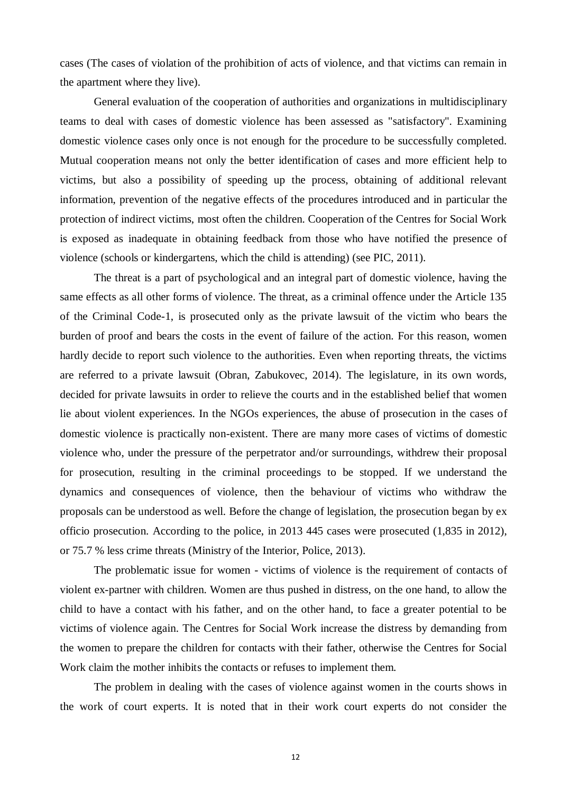cases (The cases of violation of the prohibition of acts of violence, and that victims can remain in the apartment where they live).

General evaluation of the cooperation of authorities and organizations in multidisciplinary teams to deal with cases of domestic violence has been assessed as "satisfactory". Examining domestic violence cases only once is not enough for the procedure to be successfully completed. Mutual cooperation means not only the better identification of cases and more efficient help to victims, but also a possibility of speeding up the process, obtaining of additional relevant information, prevention of the negative effects of the procedures introduced and in particular the protection of indirect victims, most often the children. Cooperation of the Centres for Social Work is exposed as inadequate in obtaining feedback from those who have notified the presence of violence (schools or kindergartens, which the child is attending) (see PIC, 2011).

The threat is a part of psychological and an integral part of domestic violence, having the same effects as all other forms of violence. The threat, as a criminal offence under the Article 135 of the Criminal Code-1, is prosecuted only as the private lawsuit of the victim who bears the burden of proof and bears the costs in the event of failure of the action. For this reason, women hardly decide to report such violence to the authorities. Even when reporting threats, the victims are referred to a private lawsuit (Obran, Zabukovec, 2014). The legislature, in its own words, decided for private lawsuits in order to relieve the courts and in the established belief that women lie about violent experiences. In the NGOs experiences, the abuse of prosecution in the cases of domestic violence is practically non-existent. There are many more cases of victims of domestic violence who, under the pressure of the perpetrator and/or surroundings, withdrew their proposal for prosecution, resulting in the criminal proceedings to be stopped. If we understand the dynamics and consequences of violence, then the behaviour of victims who withdraw the proposals can be understood as well. Before the change of legislation, the prosecution began by ex officio prosecution. According to the police, in 2013 445 cases were prosecuted (1,835 in 2012), or 75.7 % less crime threats (Ministry of the Interior, Police, 2013).

The problematic issue for women - victims of violence is the requirement of contacts of violent ex-partner with children. Women are thus pushed in distress, on the one hand, to allow the child to have a contact with his father, and on the other hand, to face a greater potential to be victims of violence again. The Centres for Social Work increase the distress by demanding from the women to prepare the children for contacts with their father, otherwise the Centres for Social Work claim the mother inhibits the contacts or refuses to implement them.

The problem in dealing with the cases of violence against women in the courts shows in the work of court experts. It is noted that in their work court experts do not consider the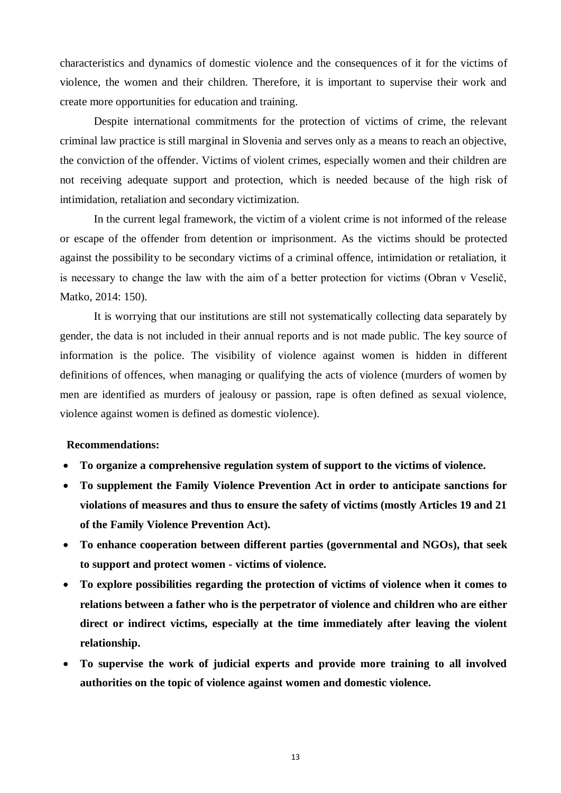characteristics and dynamics of domestic violence and the consequences of it for the victims of violence, the women and their children. Therefore, it is important to supervise their work and create more opportunities for education and training.

Despite international commitments for the protection of victims of crime, the relevant criminal law practice is still marginal in Slovenia and serves only as a means to reach an objective, the conviction of the offender. Victims of violent crimes, especially women and their children are not receiving adequate support and protection, which is needed because of the high risk of intimidation, retaliation and secondary victimization.

In the current legal framework, the victim of a violent crime is not informed of the release or escape of the offender from detention or imprisonment. As the victims should be protected against the possibility to be secondary victims of a criminal offence, intimidation or retaliation, it is necessary to change the law with the aim of a better protection for victims (Obran v Veselič, Matko, 2014: 150).

It is worrying that our institutions are still not systematically collecting data separately by gender, the data is not included in their annual reports and is not made public. The key source of information is the police. The visibility of violence against women is hidden in different definitions of offences, when managing or qualifying the acts of violence (murders of women by men are identified as murders of jealousy or passion, rape is often defined as sexual violence, violence against women is defined as domestic violence).

#### **Recommendations:**

- **To organize a comprehensive regulation system of support to the victims of violence.**
- **To supplement the Family Violence Prevention Act in order to anticipate sanctions for violations of measures and thus to ensure the safety of victims (mostly Articles 19 and 21 of the Family Violence Prevention Act).**
- **To enhance cooperation between different parties (governmental and NGOs), that seek to support and protect women - victims of violence.**
- **To explore possibilities regarding the protection of victims of violence when it comes to relations between a father who is the perpetrator of violence and children who are either direct or indirect victims, especially at the time immediately after leaving the violent relationship.**
- **To supervise the work of judicial experts and provide more training to all involved authorities on the topic of violence against women and domestic violence.**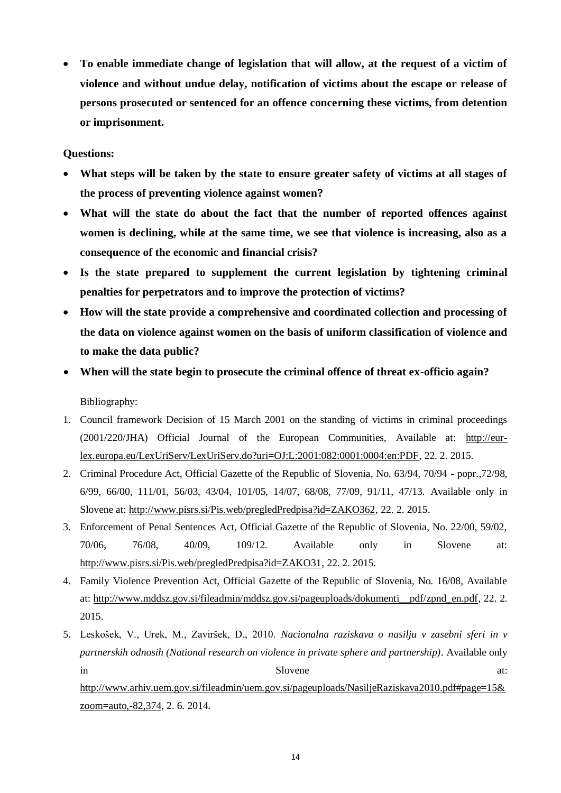**To enable immediate change of legislation that will allow, at the request of a victim of violence and without undue delay, notification of victims about the escape or release of persons prosecuted or sentenced for an offence concerning these victims, from detention or imprisonment.**

#### **Questions:**

- **What steps will be taken by the state to ensure greater safety of victims at all stages of the process of preventing violence against women?**
- **What will the state do about the fact that the number of reported offences against women is declining, while at the same time, we see that violence is increasing, also as a consequence of the economic and financial crisis?**
- **Is the state prepared to supplement the current legislation by tightening criminal penalties for perpetrators and to improve the protection of victims?**
- **How will the state provide a comprehensive and coordinated collection and processing of the data on violence against women on the basis of uniform classification of violence and to make the data public?**
- **When will the state begin to prosecute the criminal offence of threat ex-officio again?** Bibliography:
- 1. Council framework Decision of 15 March 2001 on the standing of victims in criminal proceedings (2001/220/JHA) Official Journal of the European Communities, Available at: [http://eur](http://eur-lex.europa.eu/LexUriServ/LexUriServ.do?uri=OJ:L:2001:082:0001:0004:en:PDF)[lex.europa.eu/LexUriServ/LexUriServ.do?uri=OJ:L:2001:082:0001:0004:en:PDF,](http://eur-lex.europa.eu/LexUriServ/LexUriServ.do?uri=OJ:L:2001:082:0001:0004:en:PDF) 22. 2. 2015.
- 2. Criminal Procedure Act, Official Gazette of the Republic of Slovenia, No. 63/94, 70/94 popr.,72/98, 6/99, 66/00, 111/01, 56/03, 43/04, 101/05, 14/07, 68/08, 77/09, 91/11, 47/13. Available only in Slovene at: [http://www.pisrs.si/Pis.web/pregledPredpisa?id=ZAKO362,](http://www.pisrs.si/Pis.web/pregledPredpisa?id=ZAKO362) 22. 2. 2015.
- 3. Enforcement of Penal Sentences Act, Official Gazette of the Republic of Slovenia, No. 22/00, 59/02, 70/06, 76/08, 40/09, 109/12. Available only in Slovene at: [http://www.pisrs.si/Pis.web/pregledPredpisa?id=ZAKO31,](http://www.pisrs.si/Pis.web/pregledPredpisa?id=ZAKO31) 22. 2. 2015.
- 4. Family Violence Prevention Act, Official Gazette of the Republic of Slovenia, No. 16/08, Available at: [http://www.mddsz.gov.si/fileadmin/mddsz.gov.si/pageuploads/dokumenti\\_\\_pdf/zpnd\\_en.pdf,](http://www.mddsz.gov.si/fileadmin/mddsz.gov.si/pageuploads/dokumenti__pdf/zpnd_en.pdf) 22. 2. 2015.
- 5. Leskošek, V., Urek, M., Zaviršek, D., 2010. *Nacionalna raziskava o nasilju v zasebni sferi in v partnerskih odnosih (National research on violence in private sphere and partnership)*. Available only in Slovene at: [http://www.arhiv.uem.gov.si/fileadmin/uem.gov.si/pageuploads/NasiljeRaziskava2010.pdf#page=15&](http://www.arhiv.uem.gov.si/fileadmin/uem.gov.si/pageuploads/NasiljeRaziskava2010.pdf#page=15&zoom=auto,-82,374) [zoom=auto,-82,374,](http://www.arhiv.uem.gov.si/fileadmin/uem.gov.si/pageuploads/NasiljeRaziskava2010.pdf#page=15&zoom=auto,-82,374) 2. 6. 2014.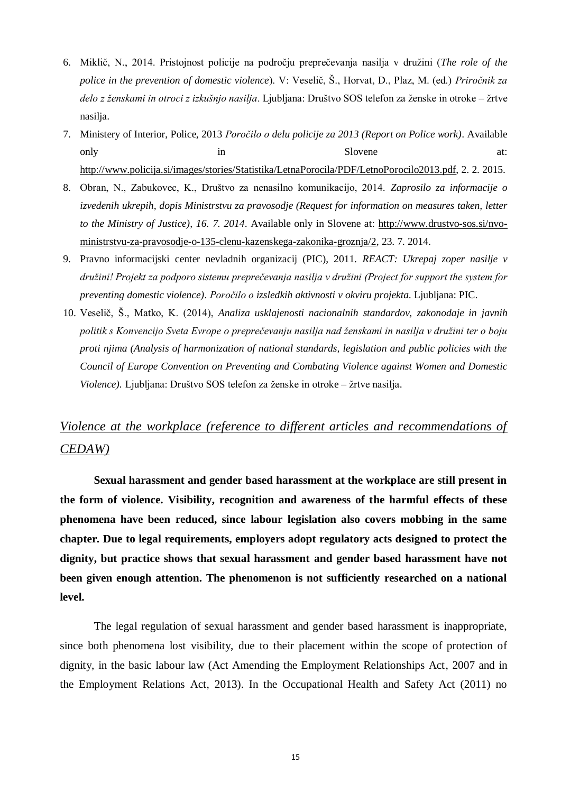- 6. Miklič, N., 2014. Pristojnost policije na področju preprečevanja nasilja v druţini (*The role of the police in the prevention of domestic violence*). V: Veselič, Š., Horvat, D., Plaz, M. (ed.) *Priročnik za delo z ženskami in otroci z izkušnjo nasilja*. Ljubljana: Društvo SOS telefon za ženske in otroke – žrtve nasilja.
- 7. Ministery of Interior, Police, 2013 *Poročilo o delu policije za 2013 (Report on Police work)*. Available only in Slovene at: [http://www.policija.si/images/stories/Statistika/LetnaPorocila/PDF/LetnoPorocilo2013.pdf,](http://www.policija.si/images/stories/Statistika/LetnaPorocila/PDF/LetnoPorocilo2013.pdf) 2. 2. 2015.
- 8. Obran, N., Zabukovec, K., Društvo za nenasilno komunikacijo, 2014. *Zaprosilo za informacije o izvedenih ukrepih, dopis Ministrstvu za pravosodje (Request for information on measures taken, letter to the Ministry of Justice), 16. 7. 2014*. Available only in Slovene at: [http://www.drustvo-sos.si/nvo](http://www.drustvo-sos.si/nvo-ministrstvu-za-pravosodje-o-135-clenu-kazenskega-zakonika-groznja/2)[ministrstvu-za-pravosodje-o-135-clenu-kazenskega-zakonika-groznja/2,](http://www.drustvo-sos.si/nvo-ministrstvu-za-pravosodje-o-135-clenu-kazenskega-zakonika-groznja/2) 23. 7. 2014.
- 9. Pravno informacijski center nevladnih organizacij (PIC), 2011. *REACT: Ukrepaj zoper nasilje v družini! Projekt za podporo sistemu preprečevanja nasilja v družini (Project for support the system for preventing domestic violence)*. *Poročilo o izsledkih aktivnosti v okviru projekta*. Ljubljana: PIC.
- 10. Veselič, Š., Matko, K. (2014), *Analiza usklajenosti nacionalnih standardov, zakonodaje in javnih politik s Konvencijo Sveta Evrope o preprečevanju nasilja nad ženskami in nasilja v družini ter o boju proti njima (Analysis of harmonization of national standards, legislation and public policies with the Council of Europe Convention on Preventing and Combating Violence against Women and Domestic Violence)*. Ljubljana: Društvo SOS telefon za ženske in otroke – žrtve nasilja.

## *Violence at the workplace (reference to different articles and recommendations of CEDAW)*

**Sexual harassment and gender based harassment at the workplace are still present in the form of violence. Visibility, recognition and awareness of the harmful effects of these phenomena have been reduced, since labour legislation also covers mobbing in the same chapter. Due to legal requirements, employers adopt regulatory acts designed to protect the dignity, but practice shows that sexual harassment and gender based harassment have not been given enough attention. The phenomenon is not sufficiently researched on a national level.**

The legal regulation of sexual harassment and gender based harassment is inappropriate, since both phenomena lost visibility, due to their placement within the scope of protection of dignity, in the basic labour law (Act Amending the Employment Relationships Act, 2007 and in the Employment Relations Act, 2013). In the Occupational Health and Safety Act (2011) no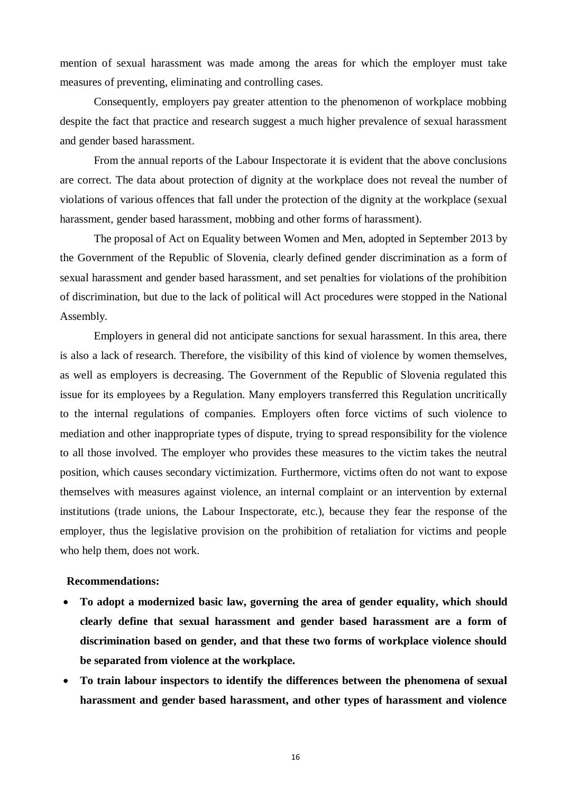mention of sexual harassment was made among the areas for which the employer must take measures of preventing, eliminating and controlling cases.

Consequently, employers pay greater attention to the phenomenon of workplace mobbing despite the fact that practice and research suggest a much higher prevalence of sexual harassment and gender based harassment.

From the annual reports of the Labour Inspectorate it is evident that the above conclusions are correct. The data about protection of dignity at the workplace does not reveal the number of violations of various offences that fall under the protection of the dignity at the workplace (sexual harassment, gender based harassment, mobbing and other forms of harassment).

The proposal of Act on Equality between Women and Men, adopted in September 2013 by the Government of the Republic of Slovenia, clearly defined gender discrimination as a form of sexual harassment and gender based harassment, and set penalties for violations of the prohibition of discrimination, but due to the lack of political will Act procedures were stopped in the National Assembly.

Employers in general did not anticipate sanctions for sexual harassment. In this area, there is also a lack of research. Therefore, the visibility of this kind of violence by women themselves, as well as employers is decreasing. The Government of the Republic of Slovenia regulated this issue for its employees by a Regulation. Many employers transferred this Regulation uncritically to the internal regulations of companies. Employers often force victims of such violence to mediation and other inappropriate types of dispute, trying to spread responsibility for the violence to all those involved. The employer who provides these measures to the victim takes the neutral position, which causes secondary victimization. Furthermore, victims often do not want to expose themselves with measures against violence, an internal complaint or an intervention by external institutions (trade unions, the Labour Inspectorate, etc.), because they fear the response of the employer, thus the legislative provision on the prohibition of retaliation for victims and people who help them, does not work.

#### **Recommendations:**

- **To adopt a modernized basic law, governing the area of gender equality, which should clearly define that sexual harassment and gender based harassment are a form of discrimination based on gender, and that these two forms of workplace violence should be separated from violence at the workplace.**
- **To train labour inspectors to identify the differences between the phenomena of sexual harassment and gender based harassment, and other types of harassment and violence**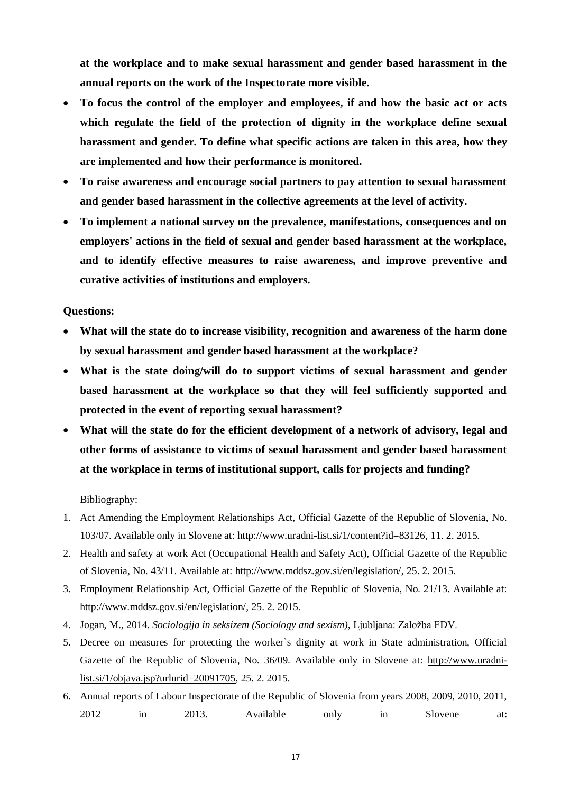**at the workplace and to make sexual harassment and gender based harassment in the annual reports on the work of the Inspectorate more visible.**

- **To focus the control of the employer and employees, if and how the basic act or acts which regulate the field of the protection of dignity in the workplace define sexual harassment and gender. To define what specific actions are taken in this area, how they are implemented and how their performance is monitored.**
- **To raise awareness and encourage social partners to pay attention to sexual harassment and gender based harassment in the collective agreements at the level of activity.**
- **To implement a national survey on the prevalence, manifestations, consequences and on employers' actions in the field of sexual and gender based harassment at the workplace, and to identify effective measures to raise awareness, and improve preventive and curative activities of institutions and employers.**

**Questions:**

- **What will the state do to increase visibility, recognition and awareness of the harm done by sexual harassment and gender based harassment at the workplace?**
- **What is the state doing/will do to support victims of sexual harassment and gender based harassment at the workplace so that they will feel sufficiently supported and protected in the event of reporting sexual harassment?**
- **What will the state do for the efficient development of a network of advisory, legal and other forms of assistance to victims of sexual harassment and gender based harassment at the workplace in terms of institutional support, calls for projects and funding?**

Bibliography:

- 1. Act Amending the Employment Relationships Act, Official Gazette of the Republic of Slovenia, No. 103/07. Available only in Slovene at: [http://www.uradni-list.si/1/content?id=83126,](http://www.uradni-list.si/1/content?id=83126) 11. 2. 2015.
- 2. Health and safety at work Act (Occupational Health and Safety Act), Official Gazette of the Republic of Slovenia, No. 43/11. Available at: [http://www.mddsz.gov.si/en/legislation/,](http://www.mddsz.gov.si/en/legislation/) 25. 2. 2015.
- 3. Employment Relationship Act, Official Gazette of the Republic of Slovenia, No. 21/13. Available at: [http://www.mddsz.gov.si/en/legislation/,](http://www.mddsz.gov.si/en/legislation/) 25. 2. 2015.
- 4. Jogan, M., 2014. *Sociologija in seksizem (Sociology and sexism)*, Ljubljana: Založba FDV.
- 5. Decree on measures for protecting the worker`s dignity at work in State administration, Official Gazette of the Republic of Slovenia, No. 36/09. Available only in Slovene at: [http://www.uradni](http://www.uradni-list.si/1/objava.jsp?urlurid=20091705)[list.si/1/objava.jsp?urlurid=20091705,](http://www.uradni-list.si/1/objava.jsp?urlurid=20091705) 25. 2. 2015.
- 6. Annual reports of Labour Inspectorate of the Republic of Slovenia from years 2008, 2009, 2010, 2011, 2012 in 2013. Available only in Slovene at: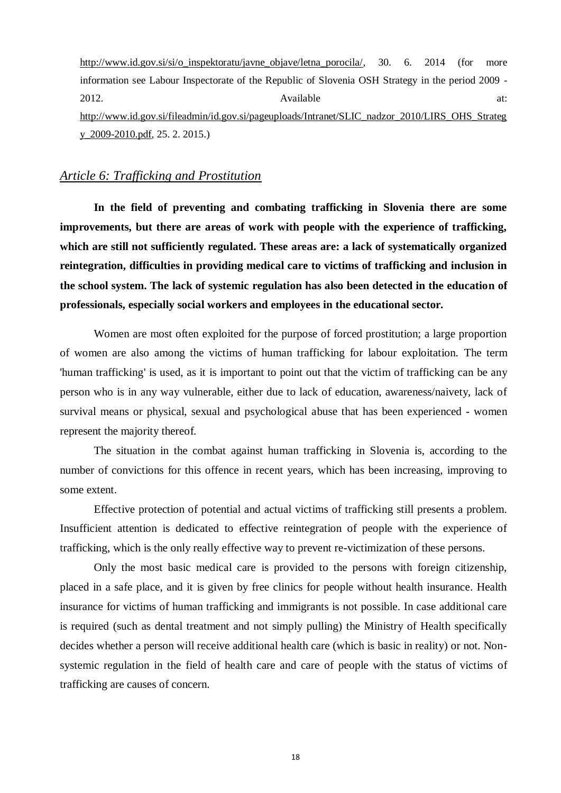[http://www.id.gov.si/si/o\\_inspektoratu/javne\\_objave/letna\\_porocila/,](http://www.id.gov.si/si/o_inspektoratu/javne_objave/letna_porocila/) 30. 6. 2014 (for more information see Labour Inspectorate of the Republic of Slovenia OSH Strategy in the period 2009 - 2012. **Available at:**  $\alpha$ [http://www.id.gov.si/fileadmin/id.gov.si/pageuploads/Intranet/SLIC\\_nadzor\\_2010/LIRS\\_OHS\\_Strateg](http://www.id.gov.si/fileadmin/id.gov.si/pageuploads/Intranet/SLIC_nadzor_2010/LIRS_OHS_Strategy_2009-2010.pdf) [y\\_2009-2010.pdf,](http://www.id.gov.si/fileadmin/id.gov.si/pageuploads/Intranet/SLIC_nadzor_2010/LIRS_OHS_Strategy_2009-2010.pdf) 25. 2. 2015.)

## *Article 6: Trafficking and Prostitution*

**In the field of preventing and combating trafficking in Slovenia there are some improvements, but there are areas of work with people with the experience of trafficking, which are still not sufficiently regulated. These areas are: a lack of systematically organized reintegration, difficulties in providing medical care to victims of trafficking and inclusion in the school system. The lack of systemic regulation has also been detected in the education of professionals, especially social workers and employees in the educational sector.**

Women are most often exploited for the purpose of forced prostitution; a large proportion of women are also among the victims of human trafficking for labour exploitation. The term 'human trafficking' is used, as it is important to point out that the victim of trafficking can be any person who is in any way vulnerable, either due to lack of education, awareness/naivety, lack of survival means or physical, sexual and psychological abuse that has been experienced - women represent the majority thereof.

The situation in the combat against human trafficking in Slovenia is, according to the number of convictions for this offence in recent years, which has been increasing, improving to some extent.

Effective protection of potential and actual victims of trafficking still presents a problem. Insufficient attention is dedicated to effective reintegration of people with the experience of trafficking, which is the only really effective way to prevent re-victimization of these persons.

Only the most basic medical care is provided to the persons with foreign citizenship, placed in a safe place, and it is given by free clinics for people without health insurance. Health insurance for victims of human trafficking and immigrants is not possible. In case additional care is required (such as dental treatment and not simply pulling) the Ministry of Health specifically decides whether a person will receive additional health care (which is basic in reality) or not. Nonsystemic regulation in the field of health care and care of people with the status of victims of trafficking are causes of concern.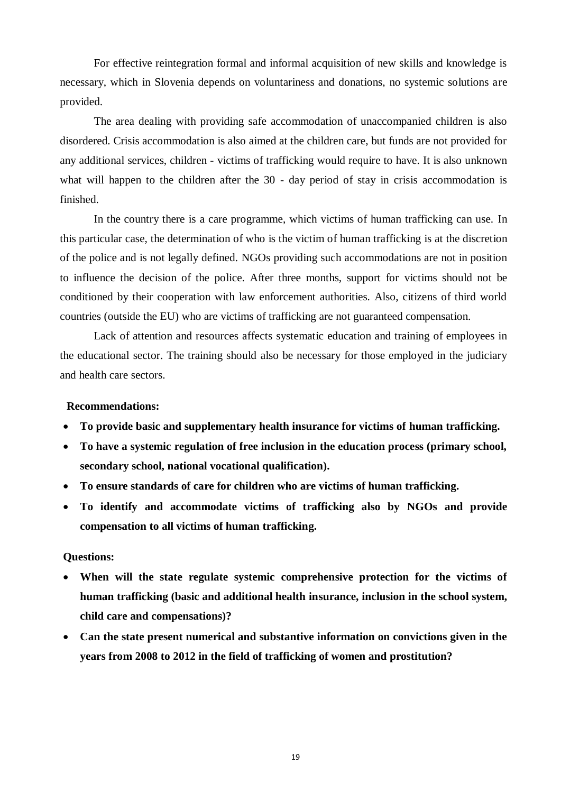For effective reintegration formal and informal acquisition of new skills and knowledge is necessary, which in Slovenia depends on voluntariness and donations, no systemic solutions are provided.

The area dealing with providing safe accommodation of unaccompanied children is also disordered. Crisis accommodation is also aimed at the children care, but funds are not provided for any additional services, children - victims of trafficking would require to have. It is also unknown what will happen to the children after the 30 - day period of stay in crisis accommodation is finished.

In the country there is a care programme, which victims of human trafficking can use. In this particular case, the determination of who is the victim of human trafficking is at the discretion of the police and is not legally defined. NGOs providing such accommodations are not in position to influence the decision of the police. After three months, support for victims should not be conditioned by their cooperation with law enforcement authorities. Also, citizens of third world countries (outside the EU) who are victims of trafficking are not guaranteed compensation.

Lack of attention and resources affects systematic education and training of employees in the educational sector. The training should also be necessary for those employed in the judiciary and health care sectors.

#### **Recommendations:**

- **To provide basic and supplementary health insurance for victims of human trafficking.**
- **To have a systemic regulation of free inclusion in the education process (primary school, secondary school, national vocational qualification).**
- **To ensure standards of care for children who are victims of human trafficking.**
- **To identify and accommodate victims of trafficking also by NGOs and provide compensation to all victims of human trafficking.**

#### **Questions:**

- **When will the state regulate systemic comprehensive protection for the victims of human trafficking (basic and additional health insurance, inclusion in the school system, child care and compensations)?**
- **Can the state present numerical and substantive information on convictions given in the years from 2008 to 2012 in the field of trafficking of women and prostitution?**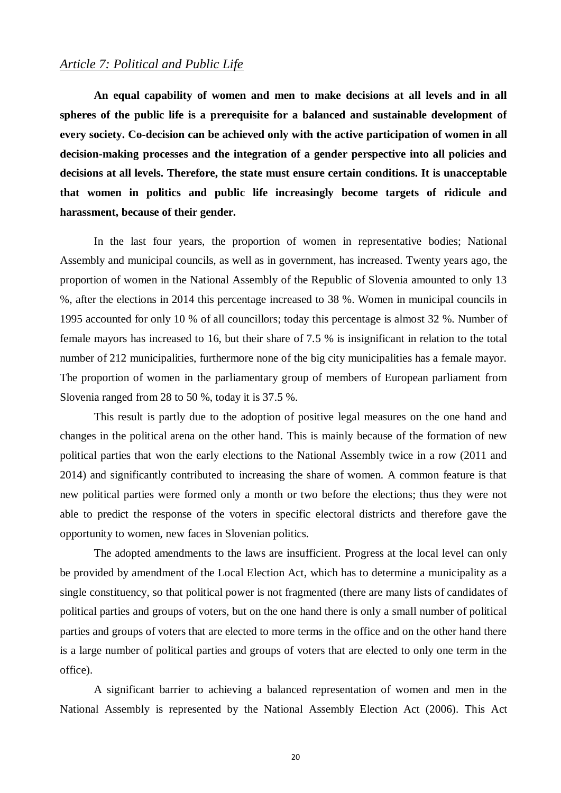#### *Article 7: Political and Public Life*

**An equal capability of women and men to make decisions at all levels and in all spheres of the public life is a prerequisite for a balanced and sustainable development of every society. Co-decision can be achieved only with the active participation of women in all decision-making processes and the integration of a gender perspective into all policies and decisions at all levels. Therefore, the state must ensure certain conditions. It is unacceptable that women in politics and public life increasingly become targets of ridicule and harassment, because of their gender.**

In the last four years, the proportion of women in representative bodies; National Assembly and municipal councils, as well as in government, has increased. Twenty years ago, the proportion of women in the National Assembly of the Republic of Slovenia amounted to only 13 %, after the elections in 2014 this percentage increased to 38 %. Women in municipal councils in 1995 accounted for only 10 % of all councillors; today this percentage is almost 32 %. Number of female mayors has increased to 16, but their share of 7.5 % is insignificant in relation to the total number of 212 municipalities, furthermore none of the big city municipalities has a female mayor. The proportion of women in the parliamentary group of members of European parliament from Slovenia ranged from 28 to 50 %, today it is 37.5 %.

This result is partly due to the adoption of positive legal measures on the one hand and changes in the political arena on the other hand. This is mainly because of the formation of new political parties that won the early elections to the National Assembly twice in a row (2011 and 2014) and significantly contributed to increasing the share of women. A common feature is that new political parties were formed only a month or two before the elections; thus they were not able to predict the response of the voters in specific electoral districts and therefore gave the opportunity to women, new faces in Slovenian politics.

The adopted amendments to the laws are insufficient. Progress at the local level can only be provided by amendment of the Local Election Act, which has to determine a municipality as a single constituency, so that political power is not fragmented (there are many lists of candidates of political parties and groups of voters, but on the one hand there is only a small number of political parties and groups of voters that are elected to more terms in the office and on the other hand there is a large number of political parties and groups of voters that are elected to only one term in the office).

A significant barrier to achieving a balanced representation of women and men in the National Assembly is represented by the National Assembly Election Act (2006). This Act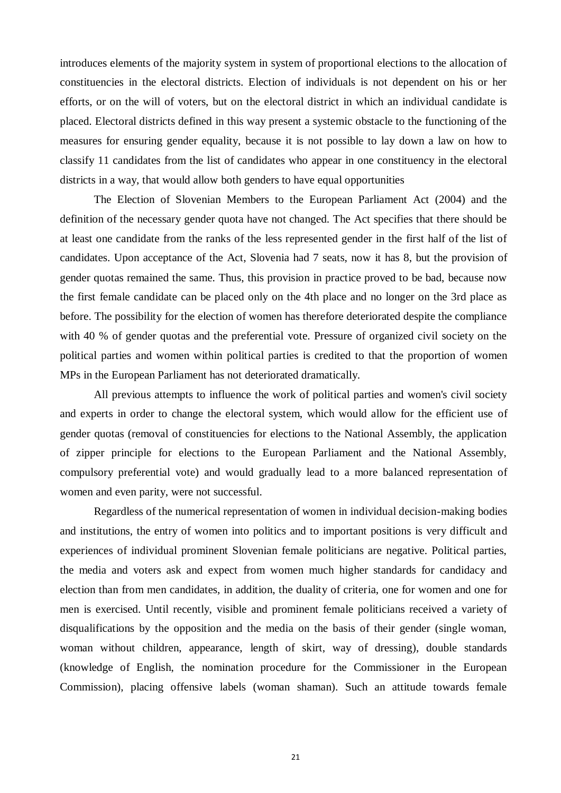introduces elements of the majority system in system of proportional elections to the allocation of constituencies in the electoral districts. Election of individuals is not dependent on his or her efforts, or on the will of voters, but on the electoral district in which an individual candidate is placed. Electoral districts defined in this way present a systemic obstacle to the functioning of the measures for ensuring gender equality, because it is not possible to lay down a law on how to classify 11 candidates from the list of candidates who appear in one constituency in the electoral districts in a way, that would allow both genders to have equal opportunities

The Election of Slovenian Members to the European Parliament Act (2004) and the definition of the necessary gender quota have not changed. The Act specifies that there should be at least one candidate from the ranks of the less represented gender in the first half of the list of candidates. Upon acceptance of the Act, Slovenia had 7 seats, now it has 8, but the provision of gender quotas remained the same. Thus, this provision in practice proved to be bad, because now the first female candidate can be placed only on the 4th place and no longer on the 3rd place as before. The possibility for the election of women has therefore deteriorated despite the compliance with 40 % of gender quotas and the preferential vote. Pressure of organized civil society on the political parties and women within political parties is credited to that the proportion of women MPs in the European Parliament has not deteriorated dramatically.

All previous attempts to influence the work of political parties and women's civil society and experts in order to change the electoral system, which would allow for the efficient use of gender quotas (removal of constituencies for elections to the National Assembly, the application of zipper principle for elections to the European Parliament and the National Assembly, compulsory preferential vote) and would gradually lead to a more balanced representation of women and even parity, were not successful.

Regardless of the numerical representation of women in individual decision-making bodies and institutions, the entry of women into politics and to important positions is very difficult and experiences of individual prominent Slovenian female politicians are negative. Political parties, the media and voters ask and expect from women much higher standards for candidacy and election than from men candidates, in addition, the duality of criteria, one for women and one for men is exercised. Until recently, visible and prominent female politicians received a variety of disqualifications by the opposition and the media on the basis of their gender (single woman, woman without children, appearance, length of skirt, way of dressing), double standards (knowledge of English, the nomination procedure for the Commissioner in the European Commission), placing offensive labels (woman shaman). Such an attitude towards female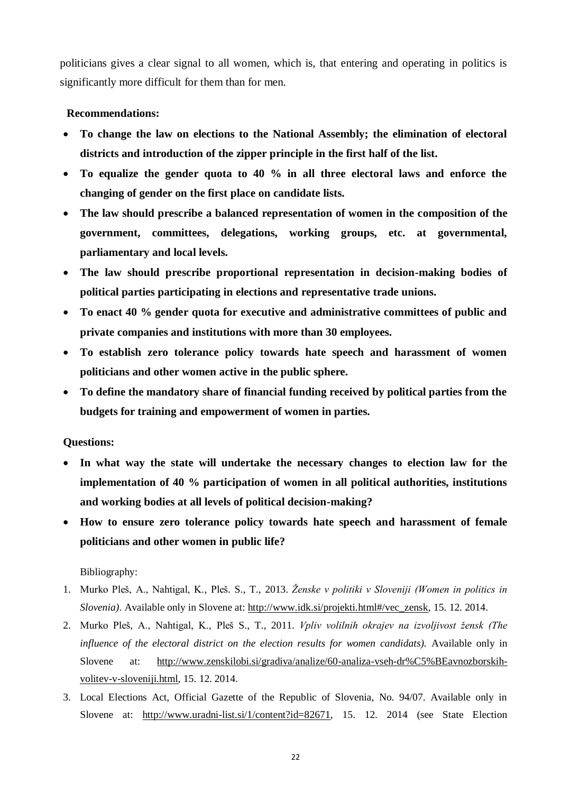politicians gives a clear signal to all women, which is, that entering and operating in politics is significantly more difficult for them than for men.

#### **Recommendations:**

- **To change the law on elections to the National Assembly; the elimination of electoral districts and introduction of the zipper principle in the first half of the list.**
- **To equalize the gender quota to 40 % in all three electoral laws and enforce the changing of gender on the first place on candidate lists.**
- **The law should prescribe a balanced representation of women in the composition of the government, committees, delegations, working groups, etc. at governmental, parliamentary and local levels.**
- **The law should prescribe proportional representation in decision-making bodies of political parties participating in elections and representative trade unions.**
- **To enact 40 % gender quota for executive and administrative committees of public and private companies and institutions with more than 30 employees.**
- **To establish zero tolerance policy towards hate speech and harassment of women politicians and other women active in the public sphere.**
- **To define the mandatory share of financial funding received by political parties from the budgets for training and empowerment of women in parties.**

#### **Questions:**

- **In what way the state will undertake the necessary changes to election law for the implementation of 40 % participation of women in all political authorities, institutions and working bodies at all levels of political decision-making?**
- **How to ensure zero tolerance policy towards hate speech and harassment of female politicians and other women in public life?**

## Bibliography:

- 1. Murko Pleš, A., Nahtigal, K., Pleš. S., T., 2013. *Ženske v politiki v Sloveniji (Women in politics in Slovenia).* Available only in Slovene at: [http://www.idk.si/projekti.html#/vec\\_zensk,](http://www.idk.si/projekti.html#/vec_zensk) 15. 12. 2014.
- 2. Murko Pleš, A., Nahtigal, K., Pleš S., T., 2011. *Vpliv volilnih okrajev na izvoljivost žensk (The influence of the electoral district on the election results for women candidats).* Available only in Slovene at: [http://www.zenskilobi.si/gradiva/analize/60-analiza-vseh-dr%C5%BEavnozborskih](http://www.zenskilobi.si/gradiva/analize/60-analiza-vseh-dr%C5%BEavnozborskih-volitev-v-sloveniji.html)[volitev-v-sloveniji.html,](http://www.zenskilobi.si/gradiva/analize/60-analiza-vseh-dr%C5%BEavnozborskih-volitev-v-sloveniji.html) 15. 12. 2014.
- 3. Local Elections Act, Official Gazette of the Republic of Slovenia, No. 94/07. Available only in Slovene at: [http://www.uradni-list.si/1/content?id=82671,](http://www.uradni-list.si/1/content?id=82671) 15. 12. 2014 (see State Election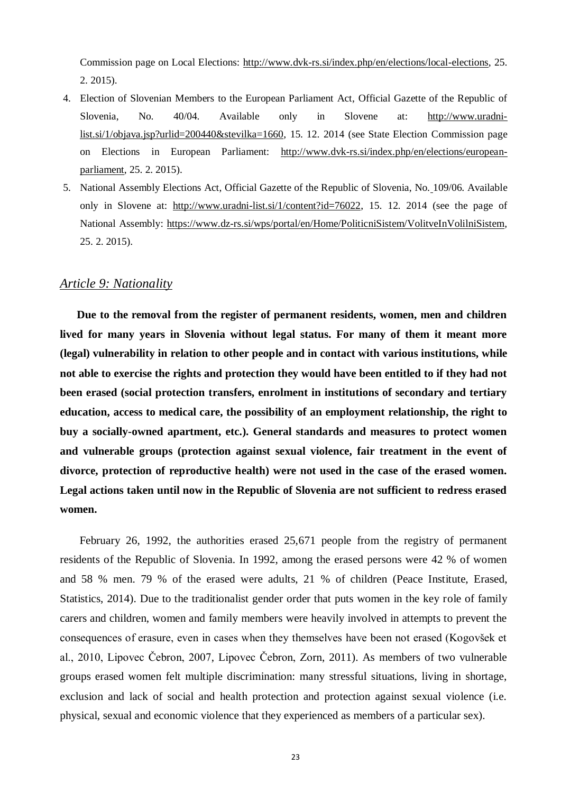Commission page on Local Elections: [http://www.dvk-rs.si/index.php/en/elections/local-elections,](http://www.dvk-rs.si/index.php/en/elections/local-elections) 25. 2. 2015).

- 4. Election of Slovenian Members to the European Parliament Act, Official Gazette of the Republic of Slovenia, No. 40/04. Available only in Slovene at: [http://www.uradni](http://www.uradni-list.si/1/objava.jsp?urlid=200440&stevilka=1660)[list.si/1/objava.jsp?urlid=200440&stevilka=1660,](http://www.uradni-list.si/1/objava.jsp?urlid=200440&stevilka=1660) 15. 12. 2014 (see State Election Commission page on Elections in European Parliament: [http://www.dvk-rs.si/index.php/en/elections/european](http://www.dvk-rs.si/index.php/en/elections/european-parliament)[parliament,](http://www.dvk-rs.si/index.php/en/elections/european-parliament) 25. 2. 2015).
- 5. National Assembly Elections Act, Official Gazette of the Republic of Slovenia, No. 109/06. Available only in Slovene at: [http://www.uradni-list.si/1/content?id=76022,](http://www.uradni-list.si/1/content?id=76022) 15. 12. 2014 (see the page of National Assembly: [https://www.dz-rs.si/wps/portal/en/Home/PoliticniSistem/VolitveInVolilniSistem,](https://www.dz-rs.si/wps/portal/en/Home/PoliticniSistem/VolitveInVolilniSistem) 25. 2. 2015).

#### *Article 9: Nationality*

**Due to the removal from the register of permanent residents, women, men and children lived for many years in Slovenia without legal status. For many of them it meant more (legal) vulnerability in relation to other people and in contact with various institutions, while not able to exercise the rights and protection they would have been entitled to if they had not been erased (social protection transfers, enrolment in institutions of secondary and tertiary education, access to medical care, the possibility of an employment relationship, the right to buy a socially-owned apartment, etc.). General standards and measures to protect women and vulnerable groups (protection against sexual violence, fair treatment in the event of divorce, protection of reproductive health) were not used in the case of the erased women. Legal actions taken until now in the Republic of Slovenia are not sufficient to redress erased women.** 

February 26, 1992, the authorities erased 25,671 people from the registry of permanent residents of the Republic of Slovenia. In 1992, among the erased persons were 42 % of women and 58 % men. 79 % of the erased were adults, 21 % of children (Peace Institute, Erased, Statistics, 2014). Due to the traditionalist gender order that puts women in the key role of family carers and children, women and family members were heavily involved in attempts to prevent the consequences of erasure, even in cases when they themselves have been not erased (Kogovšek et al., 2010, Lipovec Čebron, 2007, Lipovec Čebron, Zorn, 2011). As members of two vulnerable groups erased women felt multiple discrimination: many stressful situations, living in shortage, exclusion and lack of social and health protection and protection against sexual violence (i.e. physical, sexual and economic violence that they experienced as members of a particular sex).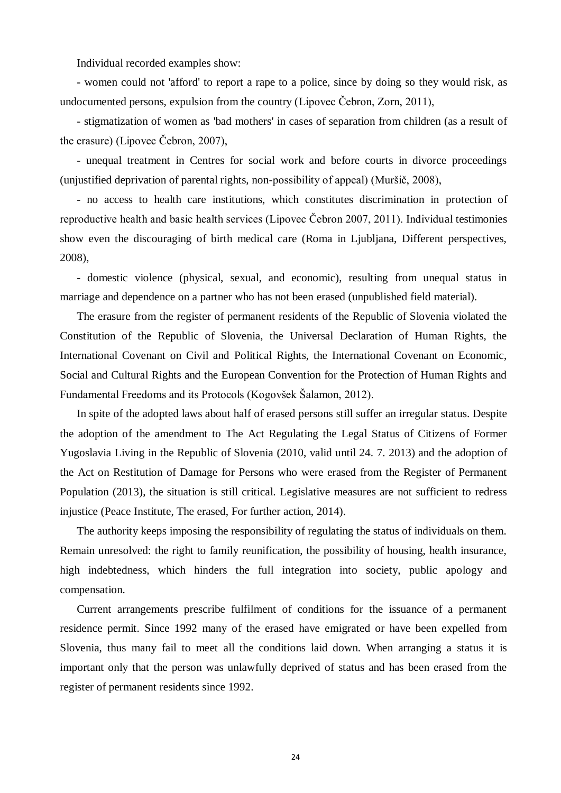Individual recorded examples show:

- women could not 'afford' to report a rape to a police, since by doing so they would risk, as undocumented persons, expulsion from the country (Lipovec Čebron, Zorn, 2011),

- stigmatization of women as 'bad mothers' in cases of separation from children (as a result of the erasure) (Lipovec Čebron, 2007),

- unequal treatment in Centres for social work and before courts in divorce proceedings (unjustified deprivation of parental rights, non-possibility of appeal) (Muršič, 2008),

- no access to health care institutions, which constitutes discrimination in protection of reproductive health and basic health services (Lipovec Čebron 2007, 2011). Individual testimonies show even the discouraging of birth medical care (Roma in Ljubljana, Different perspectives, 2008),

- domestic violence (physical, sexual, and economic), resulting from unequal status in marriage and dependence on a partner who has not been erased (unpublished field material).

The erasure from the register of permanent residents of the Republic of Slovenia violated the Constitution of the Republic of Slovenia, the Universal Declaration of Human Rights, the International Covenant on Civil and Political Rights, the International Covenant on Economic, Social and Cultural Rights and the European Convention for the Protection of Human Rights and Fundamental Freedoms and its Protocols (Kogovšek Šalamon, 2012).

In spite of the adopted laws about half of erased persons still suffer an irregular status. Despite the adoption of the amendment to The Act Regulating the Legal Status of Citizens of Former Yugoslavia Living in the Republic of Slovenia (2010, valid until 24. 7. 2013) and the adoption of the Act on Restitution of Damage for Persons who were erased from the Register of Permanent Population (2013), the situation is still critical. Legislative measures are not sufficient to redress injustice (Peace Institute, The erased, For further action, 2014).

The authority keeps imposing the responsibility of regulating the status of individuals on them. Remain unresolved: the right to family reunification, the possibility of housing, health insurance, high indebtedness, which hinders the full integration into society, public apology and compensation.

Current arrangements prescribe fulfilment of conditions for the issuance of a permanent residence permit. Since 1992 many of the erased have emigrated or have been expelled from Slovenia, thus many fail to meet all the conditions laid down. When arranging a status it is important only that the person was unlawfully deprived of status and has been erased from the register of permanent residents since 1992.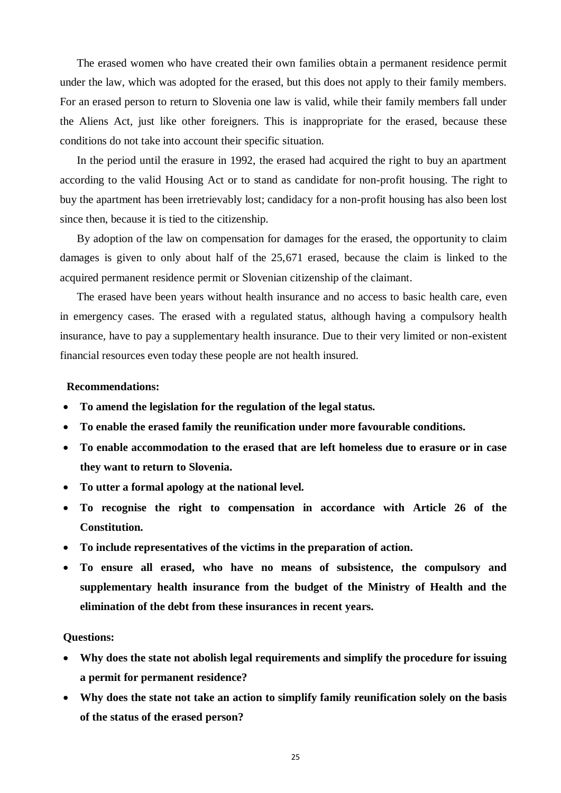The erased women who have created their own families obtain a permanent residence permit under the law, which was adopted for the erased, but this does not apply to their family members. For an erased person to return to Slovenia one law is valid, while their family members fall under the Aliens Act, just like other foreigners. This is inappropriate for the erased, because these conditions do not take into account their specific situation.

In the period until the erasure in 1992, the erased had acquired the right to buy an apartment according to the valid Housing Act or to stand as candidate for non-profit housing. The right to buy the apartment has been irretrievably lost; candidacy for a non-profit housing has also been lost since then, because it is tied to the citizenship.

By adoption of the law on compensation for damages for the erased, the opportunity to claim damages is given to only about half of the 25,671 erased, because the claim is linked to the acquired permanent residence permit or Slovenian citizenship of the claimant.

The erased have been years without health insurance and no access to basic health care, even in emergency cases. The erased with a regulated status, although having a compulsory health insurance, have to pay a supplementary health insurance. Due to their very limited or non-existent financial resources even today these people are not health insured.

#### **Recommendations:**

- **To amend the legislation for the regulation of the legal status.**
- **To enable the erased family the reunification under more favourable conditions.**
- **To enable accommodation to the erased that are left homeless due to erasure or in case they want to return to Slovenia.**
- **To utter a formal apology at the national level.**
- **To recognise the right to compensation in accordance with Article 26 of the Constitution.**
- **To include representatives of the victims in the preparation of action.**
- **To ensure all erased, who have no means of subsistence, the compulsory and supplementary health insurance from the budget of the Ministry of Health and the elimination of the debt from these insurances in recent years.**

#### **Questions:**

- **Why does the state not abolish legal requirements and simplify the procedure for issuing a permit for permanent residence?**
- **Why does the state not take an action to simplify family reunification solely on the basis of the status of the erased person?**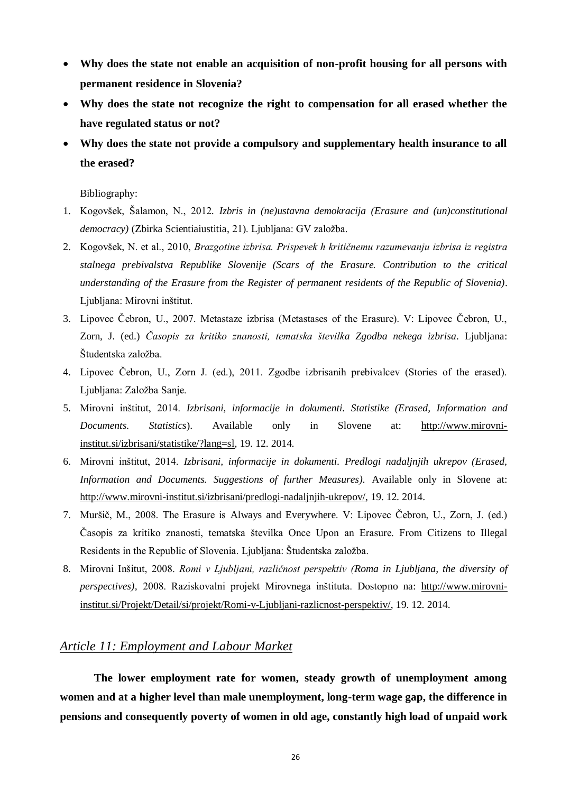- **Why does the state not enable an acquisition of non-profit housing for all persons with permanent residence in Slovenia?**
- **Why does the state not recognize the right to compensation for all erased whether the have regulated status or not?**
- **Why does the state not provide a compulsory and supplementary health insurance to all the erased?**

#### Bibliography:

- 1. Kogovšek, Šalamon, N., 2012*. Izbris in (ne)ustavna demokracija (Erasure and (un)constitutional*  democracy) (Zbirka Scientiaiustitia, 21). Ljubljana: GV založba.
- 2. Kogovšek, N. et al., 2010, *Brazgotine izbrisa. Prispevek h kritičnemu razumevanju izbrisa iz registra stalnega prebivalstva Republike Slovenije (Scars of the Erasure. Contribution to the critical understanding of the Erasure from the Register of permanent residents of the Republic of Slovenia)*. Ljubljana: Mirovni inštitut.
- 3. Lipovec Čebron, U., 2007. Metastaze izbrisa (Metastases of the Erasure). V: Lipovec Čebron, U., Zorn, J. (ed.) *Časopis za kritiko znanosti, tematska številka Zgodba nekega izbrisa*. Ljubljana: Študentska založba.
- 4. Lipovec Čebron, U., Zorn J. (ed.), 2011. Zgodbe izbrisanih prebivalcev (Stories of the erased). Ljubljana: Založba Sanje.
- 5. Mirovni inštitut, 2014. *Izbrisani, informacije in dokumenti. Statistike (Erased, Information and Documents. Statistics*). Available only in Slovene at: [http://www.mirovni](http://www.mirovni-institut.si/izbrisani/statistike/?lang=sl)[institut.si/izbrisani/statistike/?lang=sl,](http://www.mirovni-institut.si/izbrisani/statistike/?lang=sl) 19. 12. 2014.
- 6. Mirovni inštitut, 2014. *Izbrisani, informacije in dokumenti. Predlogi nadaljnjih ukrepov (Erased, Information and Documents. Suggestions of further Measures).* Available only in Slovene at: [http://www.mirovni-institut.si/izbrisani/predlogi-nadaljnjih-ukrepov/,](http://www.mirovni-institut.si/izbrisani/predlogi-nadaljnjih-ukrepov/) 19. 12. 2014.
- 7. Muršič, M., 2008. The Erasure is Always and Everywhere. V: Lipovec Čebron, U., Zorn, J. (ed.) Časopis za kritiko znanosti, tematska številka Once Upon an Erasure. From Citizens to Illegal Residents in the Republic of Slovenia. Ljubljana: Študentska založba.
- 8. Mirovni Inšitut, 2008. *Romi v Ljubljani, različnost perspektiv (Roma in Ljubljana, the diversity of perspectives),* 2008. Raziskovalni projekt Mirovnega inštituta. Dostopno na: [http://www.mirovni](http://www.mirovni-institut.si/Projekt/Detail/si/projekt/Romi-v-Ljubljani-razlicnost-perspektiv/)[institut.si/Projekt/Detail/si/projekt/Romi-v-Ljubljani-razlicnost-perspektiv/,](http://www.mirovni-institut.si/Projekt/Detail/si/projekt/Romi-v-Ljubljani-razlicnost-perspektiv/) 19. 12. 2014.

## *Article 11: Employment and Labour Market*

**The lower employment rate for women, steady growth of unemployment among women and at a higher level than male unemployment, long-term wage gap, the difference in pensions and consequently poverty of women in old age, constantly high load of unpaid work**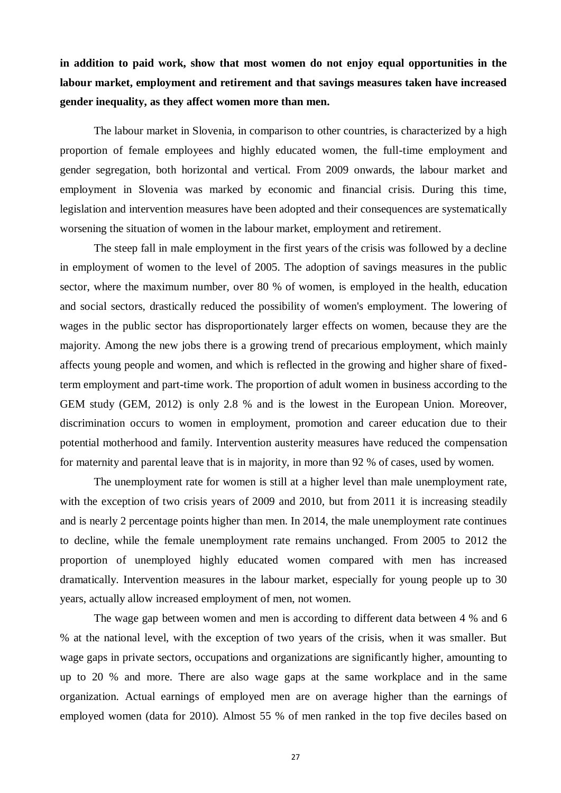**in addition to paid work, show that most women do not enjoy equal opportunities in the labour market, employment and retirement and that savings measures taken have increased gender inequality, as they affect women more than men.**

The labour market in Slovenia, in comparison to other countries, is characterized by a high proportion of female employees and highly educated women, the full-time employment and gender segregation, both horizontal and vertical. From 2009 onwards, the labour market and employment in Slovenia was marked by economic and financial crisis. During this time, legislation and intervention measures have been adopted and their consequences are systematically worsening the situation of women in the labour market, employment and retirement.

The steep fall in male employment in the first years of the crisis was followed by a decline in employment of women to the level of 2005. The adoption of savings measures in the public sector, where the maximum number, over 80 % of women, is employed in the health, education and social sectors, drastically reduced the possibility of women's employment. The lowering of wages in the public sector has disproportionately larger effects on women, because they are the majority. Among the new jobs there is a growing trend of precarious employment, which mainly affects young people and women, and which is reflected in the growing and higher share of fixedterm employment and part-time work. The proportion of adult women in business according to the GEM study (GEM, 2012) is only 2.8 % and is the lowest in the European Union. Moreover, discrimination occurs to women in employment, promotion and career education due to their potential motherhood and family. Intervention austerity measures have reduced the compensation for maternity and parental leave that is in majority, in more than 92 % of cases, used by women.

The unemployment rate for women is still at a higher level than male unemployment rate, with the exception of two crisis years of 2009 and 2010, but from 2011 it is increasing steadily and is nearly 2 percentage points higher than men. In 2014, the male unemployment rate continues to decline, while the female unemployment rate remains unchanged. From 2005 to 2012 the proportion of unemployed highly educated women compared with men has increased dramatically. Intervention measures in the labour market, especially for young people up to 30 years, actually allow increased employment of men, not women.

The wage gap between women and men is according to different data between 4 % and 6 % at the national level, with the exception of two years of the crisis, when it was smaller. But wage gaps in private sectors, occupations and organizations are significantly higher, amounting to up to 20 % and more. There are also wage gaps at the same workplace and in the same organization. Actual earnings of employed men are on average higher than the earnings of employed women (data for 2010). Almost 55 % of men ranked in the top five deciles based on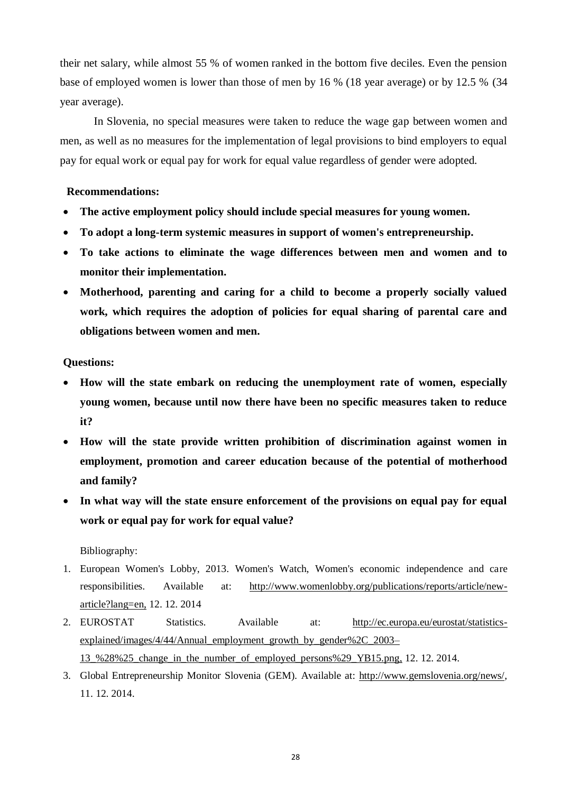their net salary, while almost 55 % of women ranked in the bottom five deciles. Even the pension base of employed women is lower than those of men by 16 % (18 year average) or by 12.5 % (34 year average).

In Slovenia, no special measures were taken to reduce the wage gap between women and men, as well as no measures for the implementation of legal provisions to bind employers to equal pay for equal work or equal pay for work for equal value regardless of gender were adopted.

#### **Recommendations:**

- **The active employment policy should include special measures for young women.**
- **To adopt a long-term systemic measures in support of women's entrepreneurship.**
- **To take actions to eliminate the wage differences between men and women and to monitor their implementation.**
- **Motherhood, parenting and caring for a child to become a properly socially valued work, which requires the adoption of policies for equal sharing of parental care and obligations between women and men.**

#### **Questions:**

- **How will the state embark on reducing the unemployment rate of women, especially young women, because until now there have been no specific measures taken to reduce it?**
- **How will the state provide written prohibition of discrimination against women in employment, promotion and career education because of the potential of motherhood and family?**
- **In what way will the state ensure enforcement of the provisions on equal pay for equal work or equal pay for work for equal value?**

Bibliography:

- 1. European Women's Lobby, 2013. Women's Watch, Women's economic independence and care responsibilities. Available at: [http://www.womenlobby.org/publications/reports/article/new](http://www.womenlobby.org/publications/reports/article/new-article?lang=en)[article?lang=en,](http://www.womenlobby.org/publications/reports/article/new-article?lang=en) 12. 12. 2014
- 2. EUROSTAT Statistics. Available at: [http://ec.europa.eu/eurostat/statistics](http://ec.europa.eu/eurostat/statistics-explained/images/4/44/Annual_employment_growth_by_gender%2C_2003–13_%28%25_change_in_the_number_of_employed_persons%29_YB15.png)[explained/images/4/44/Annual\\_employment\\_growth\\_by\\_gender%2C\\_2003–](http://ec.europa.eu/eurostat/statistics-explained/images/4/44/Annual_employment_growth_by_gender%2C_2003–13_%28%25_change_in_the_number_of_employed_persons%29_YB15.png)
	- [13\\_%28%25\\_change\\_in\\_the\\_number\\_of\\_employed\\_persons%29\\_YB15.png,](http://ec.europa.eu/eurostat/statistics-explained/images/4/44/Annual_employment_growth_by_gender%2C_2003–13_%28%25_change_in_the_number_of_employed_persons%29_YB15.png) 12. 12. 2014.
- 3. Global Entrepreneurship Monitor Slovenia (GEM). Available at: [http://www.gemslovenia.org/news/,](http://www.gemslovenia.org/news/) 11. 12. 2014.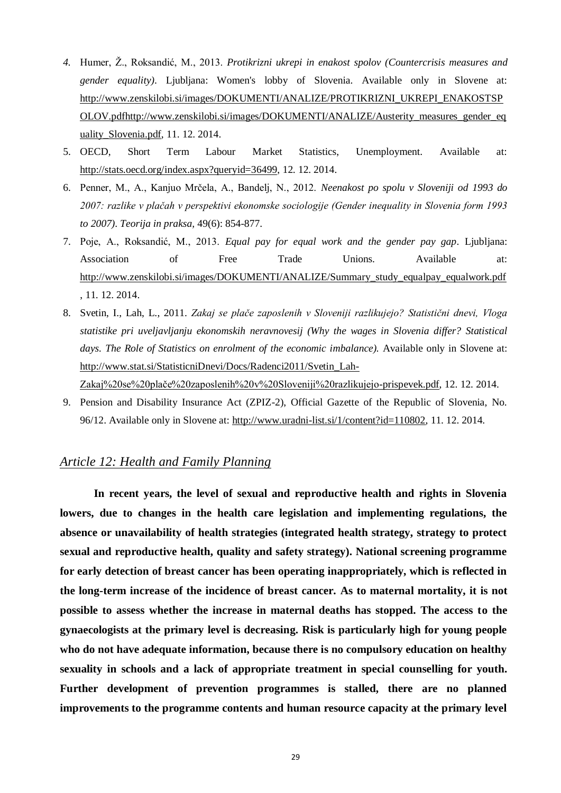- 4. Humer, Ž., Roksandić, M., 2013. Protikrizni ukrepi in enakost spolov (Countercrisis measures and *gender equality)*. Ljubljana: Women's lobby of Slovenia. Available only in Slovene at: [http://www.zenskilobi.si/images/DOKUMENTI/ANALIZE/PROTIKRIZNI\\_UKREPI\\_ENAKOSTSP](http://www.zenskilobi.si/images/DOKUMENTI/ANALIZE/PROTIKRIZNI_UKREPI_ENAKOSTSPOLOV.pdfhttp:/www.zenskilobi.si/images/DOKUMENTI/ANALIZE/Austerity_measures_gender_equality_Slovenia.pdf) [OLOV.pdfhttp://www.zenskilobi.si/images/DOKUMENTI/ANALIZE/Austerity\\_measures\\_gender\\_eq](http://www.zenskilobi.si/images/DOKUMENTI/ANALIZE/PROTIKRIZNI_UKREPI_ENAKOSTSPOLOV.pdfhttp:/www.zenskilobi.si/images/DOKUMENTI/ANALIZE/Austerity_measures_gender_equality_Slovenia.pdf) [uality\\_Slovenia.pdf,](http://www.zenskilobi.si/images/DOKUMENTI/ANALIZE/PROTIKRIZNI_UKREPI_ENAKOSTSPOLOV.pdfhttp:/www.zenskilobi.si/images/DOKUMENTI/ANALIZE/Austerity_measures_gender_equality_Slovenia.pdf) 11. 12. 2014.
- 5. OECD, Short Term Labour Market Statistics, Unemployment. Available at: [http://stats.oecd.org/index.aspx?queryid=36499,](http://stats.oecd.org/index.aspx?queryid=36499) 12. 12. 2014.
- 6. Penner, M., A., Kanjuo Mrčela, A., Bandelj, N., 2012. *Neenakost po spolu v Sloveniji od 1993 do 2007: razlike v plačah v perspektivi ekonomske sociologije (Gender inequality in Slovenia form 1993 to 2007)*. *Teorija in praksa,* 49(6): 854-877.
- 7. Poje, A., Roksandić, M., 2013. *Equal pay for equal work and the gender pay gap*. Ljubljana: Association of Free Trade Unions. Available at: http://www.zenskilobi.si/images/DOKUMENTI/ANALIZE/Summary\_study\_equalpay\_equalwork.pdf , 11. 12. 2014.
- 8. Svetin, I., Lah, L., 2011. *Zakaj se plače zaposlenih v Sloveniji razlikujejo? Statistični dnevi, Vloga statistike pri uveljavljanju ekonomskih neravnovesij (Why the wages in Slovenia differ? Statistical days. The Role of Statistics on enrolment of the economic imbalance).* Available only in Slovene at: [http://www.stat.si/StatisticniDnevi/Docs/Radenci2011/Svetin\\_Lah-](http://www.stat.si/StatisticniDnevi/Docs/Radenci2011/Svetin_Lah-Zakaj%20se%20plače%20zaposlenih%20v%20Sloveniji%20razlikujejo-prispevek.pdf)

[Zakaj%20se%20plače%20zaposlenih%20v%20Sloveniji%20razlikujejo-prispevek.pdf,](http://www.stat.si/StatisticniDnevi/Docs/Radenci2011/Svetin_Lah-Zakaj%20se%20plače%20zaposlenih%20v%20Sloveniji%20razlikujejo-prispevek.pdf) 12. 12. 2014.

9. Pension and Disability Insurance Act (ZPIZ-2), Official Gazette of the Republic of Slovenia, No. 96/12. Available only in Slovene at: [http://www.uradni-list.si/1/content?id=110802,](http://www.uradni-list.si/1/content?id=110802) 11. 12. 2014.

## *Article 12: Health and Family Planning*

**In recent years, the level of sexual and reproductive health and rights in Slovenia lowers, due to changes in the health care legislation and implementing regulations, the absence or unavailability of health strategies (integrated health strategy, strategy to protect sexual and reproductive health, quality and safety strategy). National screening programme for early detection of breast cancer has been operating inappropriately, which is reflected in the long-term increase of the incidence of breast cancer. As to maternal mortality, it is not possible to assess whether the increase in maternal deaths has stopped. The access to the gynaecologists at the primary level is decreasing. Risk is particularly high for young people who do not have adequate information, because there is no compulsory education on healthy sexuality in schools and a lack of appropriate treatment in special counselling for youth. Further development of prevention programmes is stalled, there are no planned improvements to the programme contents and human resource capacity at the primary level**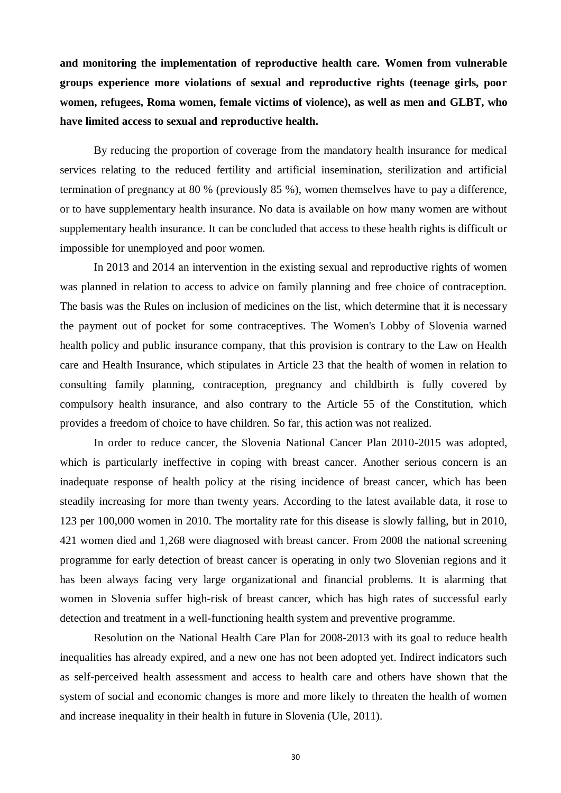**and monitoring the implementation of reproductive health care. Women from vulnerable groups experience more violations of sexual and reproductive rights (teenage girls, poor women, refugees, Roma women, female victims of violence), as well as men and GLBT, who have limited access to sexual and reproductive health.**

By reducing the proportion of coverage from the mandatory health insurance for medical services relating to the reduced fertility and artificial insemination, sterilization and artificial termination of pregnancy at 80 % (previously 85 %), women themselves have to pay a difference, or to have supplementary health insurance. No data is available on how many women are without supplementary health insurance. It can be concluded that access to these health rights is difficult or impossible for unemployed and poor women.

In 2013 and 2014 an intervention in the existing sexual and reproductive rights of women was planned in relation to access to advice on family planning and free choice of contraception. The basis was the Rules on inclusion of medicines on the list, which determine that it is necessary the payment out of pocket for some contraceptives. The Women's Lobby of Slovenia warned health policy and public insurance company, that this provision is contrary to the Law on Health care and Health Insurance, which stipulates in Article 23 that the health of women in relation to consulting family planning, contraception, pregnancy and childbirth is fully covered by compulsory health insurance, and also contrary to the Article 55 of the Constitution, which provides a freedom of choice to have children. So far, this action was not realized.

In order to reduce cancer, the Slovenia National Cancer Plan 2010-2015 was adopted, which is particularly ineffective in coping with breast cancer. Another serious concern is an inadequate response of health policy at the rising incidence of breast cancer, which has been steadily increasing for more than twenty years. According to the latest available data, it rose to 123 per 100,000 women in 2010. The mortality rate for this disease is slowly falling, but in 2010, 421 women died and 1,268 were diagnosed with breast cancer. From 2008 the national screening programme for early detection of breast cancer is operating in only two Slovenian regions and it has been always facing very large organizational and financial problems. It is alarming that women in Slovenia suffer high-risk of breast cancer, which has high rates of successful early detection and treatment in a well-functioning health system and preventive programme.

Resolution on the National Health Care Plan for 2008-2013 with its goal to reduce health inequalities has already expired, and a new one has not been adopted yet. Indirect indicators such as self-perceived health assessment and access to health care and others have shown that the system of social and economic changes is more and more likely to threaten the health of women and increase inequality in their health in future in Slovenia (Ule, 2011).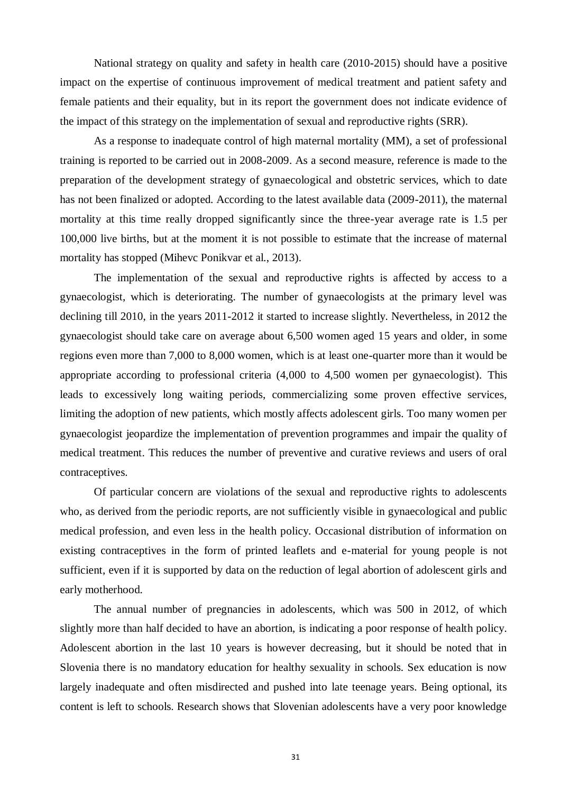National strategy on quality and safety in health care (2010-2015) should have a positive impact on the expertise of continuous improvement of medical treatment and patient safety and female patients and their equality, but in its report the government does not indicate evidence of the impact of this strategy on the implementation of sexual and reproductive rights (SRR).

As a response to inadequate control of high maternal mortality (MM), a set of professional training is reported to be carried out in 2008-2009. As a second measure, reference is made to the preparation of the development strategy of gynaecological and obstetric services, which to date has not been finalized or adopted. According to the latest available data (2009-2011), the maternal mortality at this time really dropped significantly since the three-year average rate is 1.5 per 100,000 live births, but at the moment it is not possible to estimate that the increase of maternal mortality has stopped (Mihevc Ponikvar et al., 2013).

The implementation of the sexual and reproductive rights is affected by access to a gynaecologist, which is deteriorating. The number of gynaecologists at the primary level was declining till 2010, in the years 2011-2012 it started to increase slightly. Nevertheless, in 2012 the gynaecologist should take care on average about 6,500 women aged 15 years and older, in some regions even more than 7,000 to 8,000 women, which is at least one-quarter more than it would be appropriate according to professional criteria (4,000 to 4,500 women per gynaecologist). This leads to excessively long waiting periods, commercializing some proven effective services, limiting the adoption of new patients, which mostly affects adolescent girls. Too many women per gynaecologist jeopardize the implementation of prevention programmes and impair the quality of medical treatment. This reduces the number of preventive and curative reviews and users of oral contraceptives.

Of particular concern are violations of the sexual and reproductive rights to adolescents who, as derived from the periodic reports, are not sufficiently visible in gynaecological and public medical profession, and even less in the health policy. Occasional distribution of information on existing contraceptives in the form of printed leaflets and e-material for young people is not sufficient, even if it is supported by data on the reduction of legal abortion of adolescent girls and early motherhood.

The annual number of pregnancies in adolescents, which was 500 in 2012, of which slightly more than half decided to have an abortion, is indicating a poor response of health policy. Adolescent abortion in the last 10 years is however decreasing, but it should be noted that in Slovenia there is no mandatory education for healthy sexuality in schools. Sex education is now largely inadequate and often misdirected and pushed into late teenage years. Being optional, its content is left to schools. Research shows that Slovenian adolescents have a very poor knowledge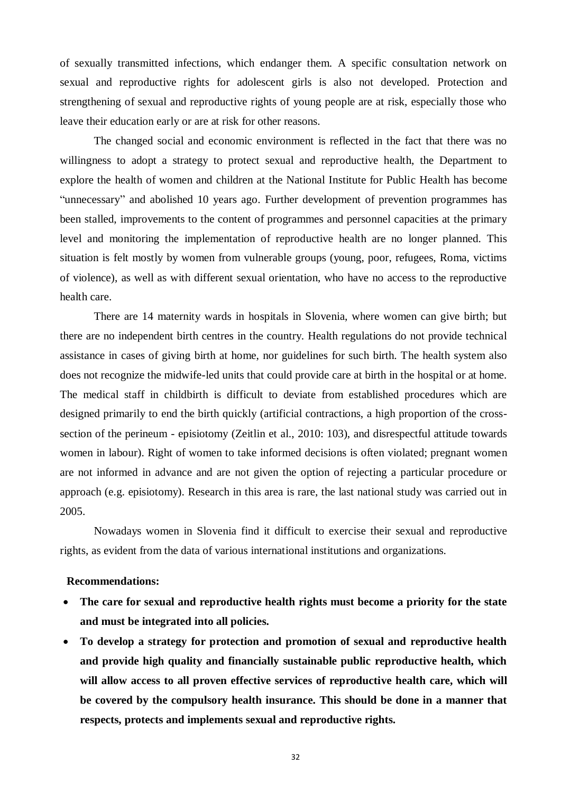of sexually transmitted infections, which endanger them. A specific consultation network on sexual and reproductive rights for adolescent girls is also not developed. Protection and strengthening of sexual and reproductive rights of young people are at risk, especially those who leave their education early or are at risk for other reasons.

The changed social and economic environment is reflected in the fact that there was no willingness to adopt a strategy to protect sexual and reproductive health, the Department to explore the health of women and children at the National Institute for Public Health has become "unnecessary" and abolished 10 years ago. Further development of prevention programmes has been stalled, improvements to the content of programmes and personnel capacities at the primary level and monitoring the implementation of reproductive health are no longer planned. This situation is felt mostly by women from vulnerable groups (young, poor, refugees, Roma, victims of violence), as well as with different sexual orientation, who have no access to the reproductive health care.

There are 14 maternity wards in hospitals in Slovenia, where women can give birth; but there are no independent birth centres in the country. Health regulations do not provide technical assistance in cases of giving birth at home, nor guidelines for such birth. The health system also does not recognize the midwife-led units that could provide care at birth in the hospital or at home. The medical staff in childbirth is difficult to deviate from established procedures which are designed primarily to end the birth quickly (artificial contractions, a high proportion of the crosssection of the perineum - episiotomy (Zeitlin et al., 2010: 103), and disrespectful attitude towards women in labour). Right of women to take informed decisions is often violated; pregnant women are not informed in advance and are not given the option of rejecting a particular procedure or approach (e.g. episiotomy). Research in this area is rare, the last national study was carried out in 2005.

Nowadays women in Slovenia find it difficult to exercise their sexual and reproductive rights, as evident from the data of various international institutions and organizations.

#### **Recommendations:**

- **The care for sexual and reproductive health rights must become a priority for the state and must be integrated into all policies.**
- **To develop a strategy for protection and promotion of sexual and reproductive health and provide high quality and financially sustainable public reproductive health, which will allow access to all proven effective services of reproductive health care, which will be covered by the compulsory health insurance. This should be done in a manner that respects, protects and implements sexual and reproductive rights.**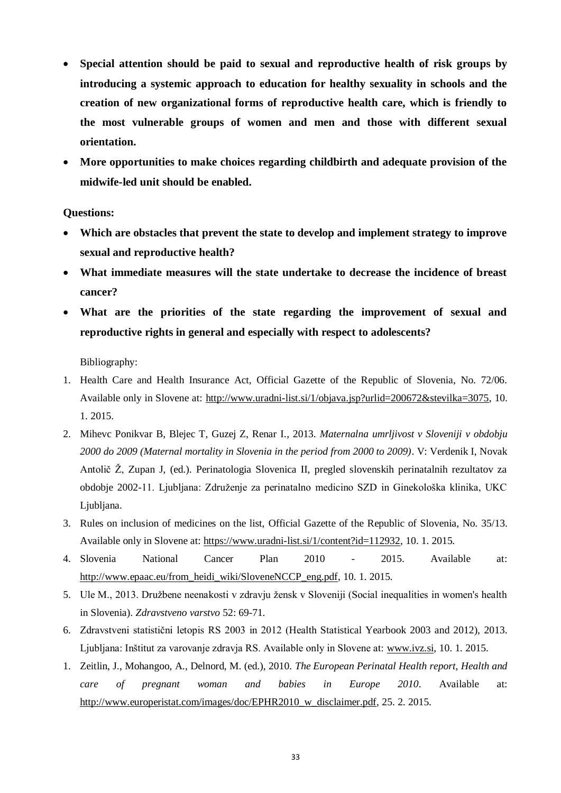- **Special attention should be paid to sexual and reproductive health of risk groups by introducing a systemic approach to education for healthy sexuality in schools and the creation of new organizational forms of reproductive health care, which is friendly to the most vulnerable groups of women and men and those with different sexual orientation.**
- **More opportunities to make choices regarding childbirth and adequate provision of the midwife-led unit should be enabled.**

#### **Questions:**

- **Which are obstacles that prevent the state to develop and implement strategy to improve sexual and reproductive health?**
- **What immediate measures will the state undertake to decrease the incidence of breast cancer?**
- **What are the priorities of the state regarding the improvement of sexual and reproductive rights in general and especially with respect to adolescents?**

Bibliography:

- 1. Health Care and Health Insurance Act, Official Gazette of the Republic of Slovenia, No. 72/06. Available only in Slovene at: [http://www.uradni-list.si/1/objava.jsp?urlid=200672&stevilka=3075,](http://www.uradni-list.si/1/objava.jsp?urlid=200672&stevilka=3075) 10. 1. 2015.
- 2. Mihevc Ponikvar B, Blejec T, Guzej Z, Renar I., 2013. *Maternalna umrljivost v Sloveniji v obdobju 2000 do 2009 (Maternal mortality in Slovenia in the period from 2000 to 2009)*. V: Verdenik I, Novak Antolič Ž, Zupan J, (ed.). Perinatologia Slovenica II, pregled slovenskih perinatalnih rezultatov za obdobje 2002-11. Ljubljana: Združenje za perinatalno medicino SZD in Ginekološka klinika, UKC Ljubljana.
- 3. Rules on inclusion of medicines on the list, Official Gazette of the Republic of Slovenia, No. 35/13. Available only in Slovene at: [https://www.uradni-list.si/1/content?id=112932,](https://www.uradni-list.si/1/content?id=112932) 10. 1. 2015.
- 4. Slovenia National Cancer Plan 2010 2015. Available at: [http://www.epaac.eu/from\\_heidi\\_wiki/SloveneNCCP\\_eng.pdf,](http://www.epaac.eu/from_heidi_wiki/SloveneNCCP_eng.pdf) 10. 1. 2015.
- 5. Ule M., 2013. Družbene neenakosti v zdravju žensk v Sloveniji (Social inequalities in women's health in Slovenia). *Zdravstveno varstvo* 52: 69-71.
- 6. Zdravstveni statistični letopis RS 2003 in 2012 (Health Statistical Yearbook 2003 and 2012), 2013. Ljubljana: Inštitut za varovanje zdravja RS. Available only in Slovene at: [www.ivz.si,](http://www.ivz.si/) 10. 1. 2015.
- 1. Zeitlin, J., Mohangoo, A., Delnord, M. (ed.), 2010. *The European Perinatal Health report, Health and care of pregnant woman and babies in Europe 2010*. Available at: [http://www.europeristat.com/images/doc/EPHR2010\\_w\\_disclaimer.pdf,](http://www.europeristat.com/images/doc/EPHR2010_w_disclaimer.pdf) 25. 2. 2015.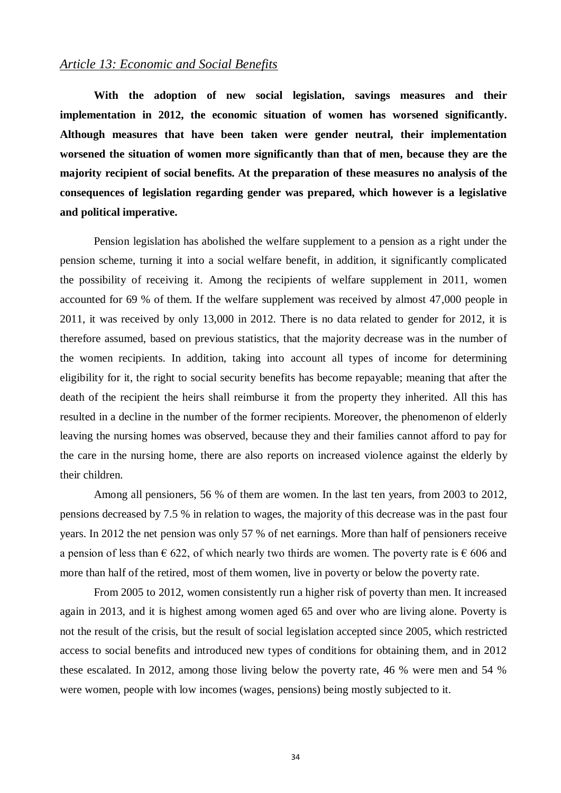#### *Article 13: Economic and Social Benefits*

**With the adoption of new social legislation, savings measures and their implementation in 2012, the economic situation of women has worsened significantly. Although measures that have been taken were gender neutral, their implementation worsened the situation of women more significantly than that of men, because they are the majority recipient of social benefits. At the preparation of these measures no analysis of the consequences of legislation regarding gender was prepared, which however is a legislative and political imperative.**

Pension legislation has abolished the welfare supplement to a pension as a right under the pension scheme, turning it into a social welfare benefit, in addition, it significantly complicated the possibility of receiving it. Among the recipients of welfare supplement in 2011, women accounted for 69 % of them. If the welfare supplement was received by almost 47,000 people in 2011, it was received by only 13,000 in 2012. There is no data related to gender for 2012, it is therefore assumed, based on previous statistics, that the majority decrease was in the number of the women recipients. In addition, taking into account all types of income for determining eligibility for it, the right to social security benefits has become repayable; meaning that after the death of the recipient the heirs shall reimburse it from the property they inherited. All this has resulted in a decline in the number of the former recipients. Moreover, the phenomenon of elderly leaving the nursing homes was observed, because they and their families cannot afford to pay for the care in the nursing home, there are also reports on increased violence against the elderly by their children.

Among all pensioners, 56 % of them are women. In the last ten years, from 2003 to 2012, pensions decreased by 7.5 % in relation to wages, the majority of this decrease was in the past four years. In 2012 the net pension was only 57 % of net earnings. More than half of pensioners receive a pension of less than  $\epsilon$  622, of which nearly two thirds are women. The poverty rate is  $\epsilon$  606 and more than half of the retired, most of them women, live in poverty or below the poverty rate.

From 2005 to 2012, women consistently run a higher risk of poverty than men. It increased again in 2013, and it is highest among women aged 65 and over who are living alone. Poverty is not the result of the crisis, but the result of social legislation accepted since 2005, which restricted access to social benefits and introduced new types of conditions for obtaining them, and in 2012 these escalated. In 2012, among those living below the poverty rate, 46 % were men and 54 % were women, people with low incomes (wages, pensions) being mostly subjected to it.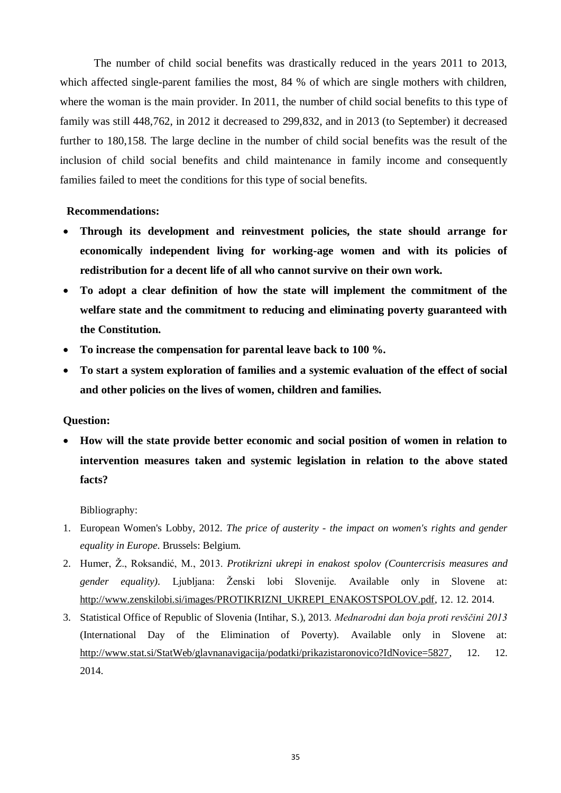The number of child social benefits was drastically reduced in the years 2011 to 2013, which affected single-parent families the most, 84 % of which are single mothers with children, where the woman is the main provider. In 2011, the number of child social benefits to this type of family was still 448,762, in 2012 it decreased to 299,832, and in 2013 (to September) it decreased further to 180,158. The large decline in the number of child social benefits was the result of the inclusion of child social benefits and child maintenance in family income and consequently families failed to meet the conditions for this type of social benefits.

#### **Recommendations:**

- **Through its development and reinvestment policies, the state should arrange for economically independent living for working-age women and with its policies of redistribution for a decent life of all who cannot survive on their own work.**
- **To adopt a clear definition of how the state will implement the commitment of the welfare state and the commitment to reducing and eliminating poverty guaranteed with the Constitution.**
- **To increase the compensation for parental leave back to 100 %.**
- **To start a system exploration of families and a systemic evaluation of the effect of social and other policies on the lives of women, children and families.**

#### **Question:**

 **How will the state provide better economic and social position of women in relation to intervention measures taken and systemic legislation in relation to the above stated facts?**

#### Bibliography:

- 1. European Women's Lobby, 2012. *The price of austerity - the impact on women's rights and gender equality in Europe*. Brussels: Belgium.
- 2. Humer, Ţ., Roksandić, M., 2013. *Protikrizni ukrepi in enakost spolov (Countercrisis measures and gender equality*). Ljubljana: Ženski lobi Slovenije. Available only in Slovene at: [http://www.zenskilobi.si/images/PROTIKRIZNI\\_UKREPI\\_ENAKOSTSPOLOV.pdf,](http://www.zenskilobi.si/images/PROTIKRIZNI_UKREPI_ENAKOSTSPOLOV.pdf) 12. 12. 2014.
- 3. Statistical Office of Republic of Slovenia (Intihar, S.), 2013. *Mednarodni dan boja proti revščini 2013* (International Day of the Elimination of Poverty). Available only in Slovene at: [http://www.stat.si/StatWeb/glavnanavigacija/podatki/prikazistaronovico?IdNovice=5827,](http://www.stat.si/StatWeb/glavnanavigacija/podatki/prikazistaronovico?IdNovice=5827) 12. 12. 2014.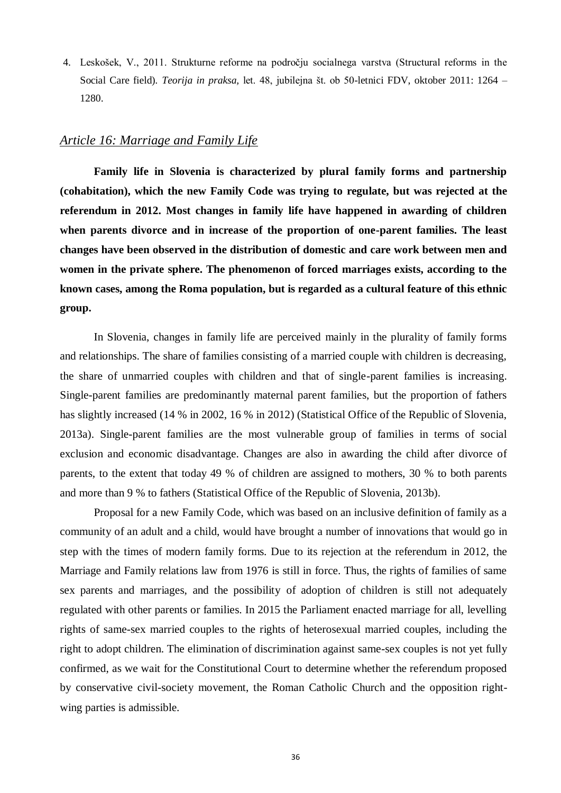4. Leskošek, V., 2011. Strukturne reforme na področju socialnega varstva (Structural reforms in the Social Care field)*. Teorija in praksa,* let. 48, jubilejna št. ob 50-letnici FDV, oktober 2011: 1264 – 1280.

#### *Article 16: Marriage and Family Life*

**Family life in Slovenia is characterized by plural family forms and partnership (cohabitation), which the new Family Code was trying to regulate, but was rejected at the referendum in 2012. Most changes in family life have happened in awarding of children when parents divorce and in increase of the proportion of one-parent families. The least changes have been observed in the distribution of domestic and care work between men and women in the private sphere. The phenomenon of forced marriages exists, according to the known cases, among the Roma population, but is regarded as a cultural feature of this ethnic group.**

In Slovenia, changes in family life are perceived mainly in the plurality of family forms and relationships. The share of families consisting of a married couple with children is decreasing, the share of unmarried couples with children and that of single-parent families is increasing. Single-parent families are predominantly maternal parent families, but the proportion of fathers has slightly increased (14 % in 2002, 16 % in 2012) (Statistical Office of the Republic of Slovenia, 2013a). Single-parent families are the most vulnerable group of families in terms of social exclusion and economic disadvantage. Changes are also in awarding the child after divorce of parents, to the extent that today 49 % of children are assigned to mothers, 30 % to both parents and more than 9 % to fathers (Statistical Office of the Republic of Slovenia, 2013b).

Proposal for a new Family Code, which was based on an inclusive definition of family as a community of an adult and a child, would have brought a number of innovations that would go in step with the times of modern family forms. Due to its rejection at the referendum in 2012, the Marriage and Family relations law from 1976 is still in force. Thus, the rights of families of same sex parents and marriages, and the possibility of adoption of children is still not adequately regulated with other parents or families. In 2015 the Parliament enacted marriage for all, levelling rights of same-sex married couples to the rights of heterosexual married couples, including the right to adopt children. The elimination of discrimination against same-sex couples is not yet fully confirmed, as we wait for the Constitutional Court to determine whether the referendum proposed by conservative civil-society movement, the Roman Catholic Church and the opposition rightwing parties is admissible.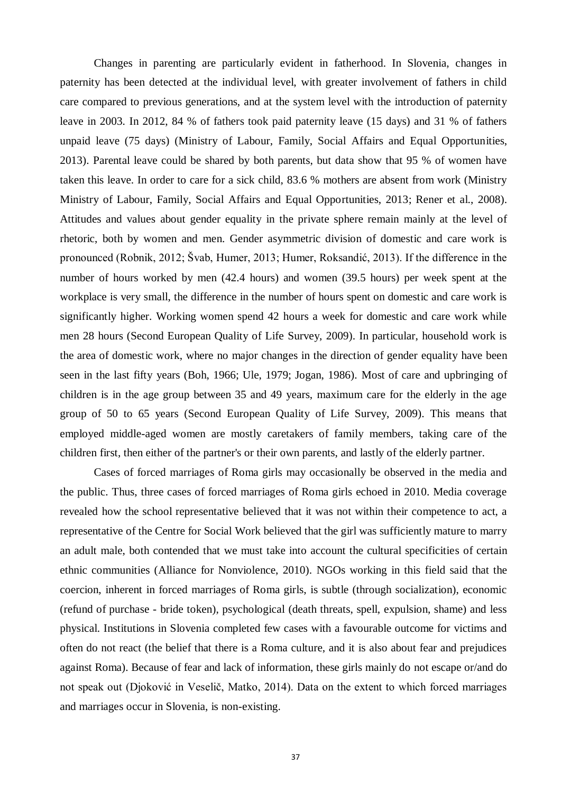Changes in parenting are particularly evident in fatherhood. In Slovenia, changes in paternity has been detected at the individual level, with greater involvement of fathers in child care compared to previous generations, and at the system level with the introduction of paternity leave in 2003. In 2012, 84 % of fathers took paid paternity leave (15 days) and 31 % of fathers unpaid leave (75 days) (Ministry of Labour, Family, Social Affairs and Equal Opportunities, 2013). Parental leave could be shared by both parents, but data show that 95 % of women have taken this leave. In order to care for a sick child, 83.6 % mothers are absent from work (Ministry Ministry of Labour, Family, Social Affairs and Equal Opportunities, 2013; Rener et al., 2008). Attitudes and values about gender equality in the private sphere remain mainly at the level of rhetoric, both by women and men. Gender asymmetric division of domestic and care work is pronounced (Robnik, 2012; Švab, Humer, 2013; Humer, Roksandić, 2013). If the difference in the number of hours worked by men (42.4 hours) and women (39.5 hours) per week spent at the workplace is very small, the difference in the number of hours spent on domestic and care work is significantly higher. Working women spend 42 hours a week for domestic and care work while men 28 hours (Second European Quality of Life Survey, 2009). In particular, household work is the area of domestic work, where no major changes in the direction of gender equality have been seen in the last fifty years (Boh, 1966; Ule, 1979; Jogan, 1986). Most of care and upbringing of children is in the age group between 35 and 49 years, maximum care for the elderly in the age group of 50 to 65 years (Second European Quality of Life Survey, 2009). This means that employed middle-aged women are mostly caretakers of family members, taking care of the children first, then either of the partner's or their own parents, and lastly of the elderly partner.

Cases of forced marriages of Roma girls may occasionally be observed in the media and the public. Thus, three cases of forced marriages of Roma girls echoed in 2010. Media coverage revealed how the school representative believed that it was not within their competence to act, a representative of the Centre for Social Work believed that the girl was sufficiently mature to marry an adult male, both contended that we must take into account the cultural specificities of certain ethnic communities (Alliance for Nonviolence, 2010). NGOs working in this field said that the coercion, inherent in forced marriages of Roma girls, is subtle (through socialization), economic (refund of purchase - bride token), psychological (death threats, spell, expulsion, shame) and less physical. Institutions in Slovenia completed few cases with a favourable outcome for victims and often do not react (the belief that there is a Roma culture, and it is also about fear and prejudices against Roma). Because of fear and lack of information, these girls mainly do not escape or/and do not speak out (Djoković in Veselič, Matko, 2014). Data on the extent to which forced marriages and marriages occur in Slovenia, is non-existing.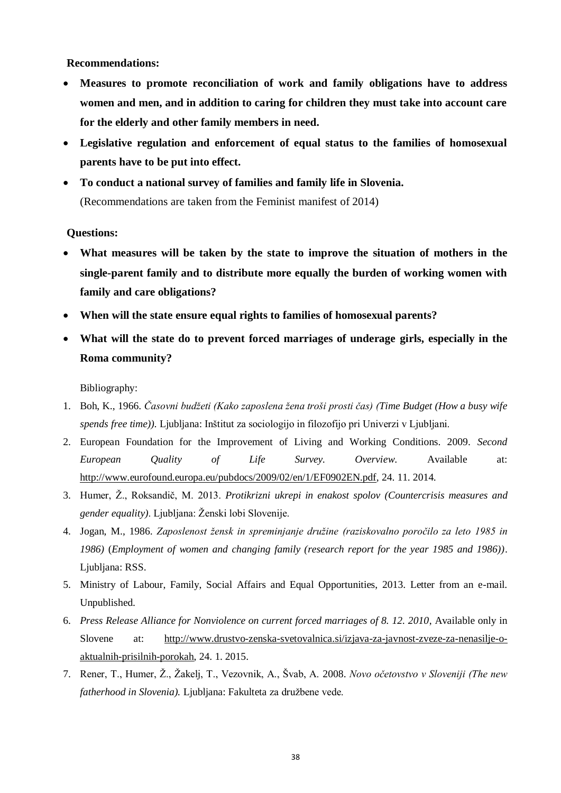**Recommendations:**

- **Measures to promote reconciliation of work and family obligations have to address women and men, and in addition to caring for children they must take into account care for the elderly and other family members in need.**
- **Legislative regulation and enforcement of equal status to the families of homosexual parents have to be put into effect.**
- **To conduct a national survey of families and family life in Slovenia.** (Recommendations are taken from the Feminist manifest of 2014)

#### **Questions:**

- **What measures will be taken by the state to improve the situation of mothers in the single-parent family and to distribute more equally the burden of working women with family and care obligations?**
- **When will the state ensure equal rights to families of homosexual parents?**
- **What will the state do to prevent forced marriages of underage girls, especially in the Roma community?**

Bibliography:

- 1. Boh, K., 1966. *Časovni budžeti (Kako zaposlena žena troši prosti čas) (Time Budget (How a busy wife spends free time)).* Ljubljana: Inštitut za sociologijo in filozofijo pri Univerzi v Ljubljani.
- 2. European Foundation for the Improvement of Living and Working Conditions. 2009. *Second European Quality of Life Survey. Overview*. Available at: [http://www.eurofound.europa.eu/pubdocs/2009/02/en/1/EF0902EN.pdf,](http://www.eurofound.europa.eu/pubdocs/2009/02/en/1/EF0902EN.pdf) 24. 11. 2014.
- 3. Humer, Ž., Roksandič, M. 2013. Protikrizni ukrepi in enakost spolov (Countercrisis measures and gender equality). Ljubljana: Ženski lobi Slovenije.
- 4. Jogan, M., 1986. *Zaposlenost žensk in spreminjanje družine (raziskovalno poročilo za leto 1985 in 1986)* (*Employment of women and changing family (research report for the year 1985 and 1986))*. Ljubljana: RSS.
- 5. Ministry of Labour, Family, Social Affairs and Equal Opportunities, 2013. Letter from an e-mail. Unpublished.
- 6. *Press Release Alliance for Nonviolence on current forced marriages of 8. 12. 2010*, Available only in Slovene at: [http://www.drustvo-zenska-svetovalnica.si/izjava-za-javnost-zveze-za-nenasilje-o](http://www.drustvo-zenska-svetovalnica.si/izjava-za-javnost-zveze-za-nenasilje-o-aktualnih-prisilnih-porokah)[aktualnih-prisilnih-porokah,](http://www.drustvo-zenska-svetovalnica.si/izjava-za-javnost-zveze-za-nenasilje-o-aktualnih-prisilnih-porokah) 24. 1. 2015.
- 7. Rener, T., Humer, Ž., Žakelj, T., Vezovnik, A., Švab, A. 2008. Novo očetovstvo v Sloveniji (The new *fatherhood in Slovenia*). Ljubljana: Fakulteta za družbene vede.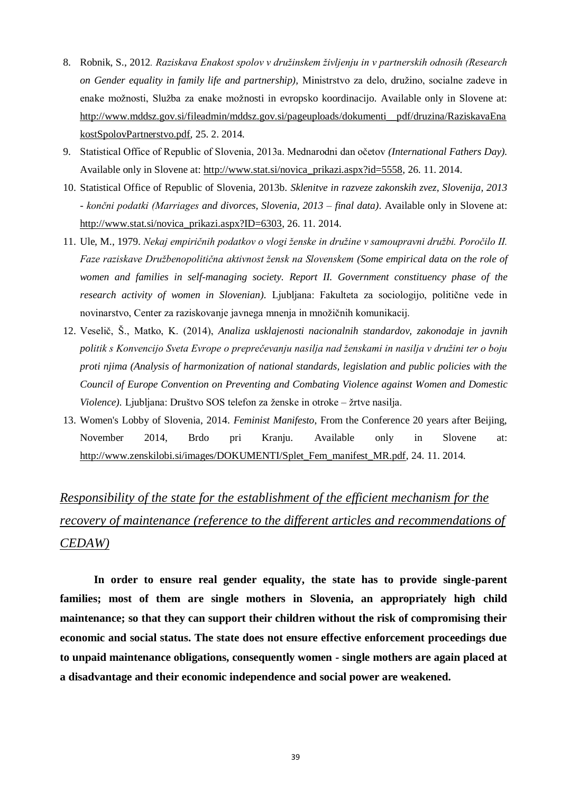- 8. Robnik, S., 2012*. Raziskava Enakost spolov v družinskem življenju in v partnerskih odnosih (Research*  on Gender equality in family life and partnership), Ministrstvo za delo, družino, socialne zadeve in enake možnosti, Služba za enake možnosti in evropsko koordinacijo. Available only in Slovene at: [http://www.mddsz.gov.si/fileadmin/mddsz.gov.si/pageuploads/dokumenti\\_\\_pdf/druzina/RaziskavaEna](http://www.mddsz.gov.si/fileadmin/mddsz.gov.si/pageuploads/dokumenti__pdf/druzina/RaziskavaEnakostSpolovPartnerstvo.pdf) [kostSpolovPartnerstvo.pdf,](http://www.mddsz.gov.si/fileadmin/mddsz.gov.si/pageuploads/dokumenti__pdf/druzina/RaziskavaEnakostSpolovPartnerstvo.pdf) 25. 2. 2014.
- 9. Statistical Office of Republic of Slovenia, 2013a. Mednarodni dan očetov *(International Fathers Day).* Available only in Slovene at: [http://www.stat.si/novica\\_prikazi.aspx?id=5558,](http://www.stat.si/novica_prikazi.aspx?id=5558) 26. 11. 2014.
- 10. Statistical Office of Republic of Slovenia, 2013b. *Sklenitve in razveze zakonskih zvez, Slovenija, 2013 - končni podatki (Marriages and divorces, Slovenia, 2013 – final data)*. Available only in Slovene at: [http://www.stat.si/novica\\_prikazi.aspx?ID=6303,](http://www.stat.si/novica_prikazi.aspx?ID=6303) 26. 11. 2014.
- 11. Ule, M., 1979. *Nekaj empiričnih podatkov o vlogi ženske in družine v samoupravni družbi. Poročilo II. Faze raziskave Družbenopolitična aktivnost žensk na Slovenskem (Some empirical data on the role of women and families in self-managing society. Report II. Government constituency phase of the research activity of women in Slovenian).* Ljubljana: Fakulteta za sociologijo, politične vede in novinarstvo, Center za raziskovanje javnega mnenja in množičnih komunikacij.
- 12. Veselič, Š., Matko, K. (2014), *Analiza usklajenosti nacionalnih standardov, zakonodaje in javnih politik s Konvencijo Sveta Evrope o preprečevanju nasilja nad ženskami in nasilja v družini ter o boju proti njima (Analysis of harmonization of national standards, legislation and public policies with the Council of Europe Convention on Preventing and Combating Violence against Women and Domestic Violence).* Ljubljana: Društvo SOS telefon za ženske in otroke – žrtve nasilja.
- 13. Women's Lobby of Slovenia, 2014. *Feminist Manifesto*, From the Conference 20 years after Beijing, November 2014, Brdo pri Kranju. Available only in Slovene at: [http://www.zenskilobi.si/images/DOKUMENTI/Splet\\_Fem\\_manifest\\_MR.pdf,](http://www.zenskilobi.si/images/DOKUMENTI/Splet_Fem_manifest_MR.pdf) 24. 11. 2014.

## *Responsibility of the state for the establishment of the efficient mechanism for the recovery of maintenance (reference to the different articles and recommendations of CEDAW)*

**In order to ensure real gender equality, the state has to provide single-parent families; most of them are single mothers in Slovenia, an appropriately high child maintenance; so that they can support their children without the risk of compromising their economic and social status. The state does not ensure effective enforcement proceedings due to unpaid maintenance obligations, consequently women - single mothers are again placed at a disadvantage and their economic independence and social power are weakened.**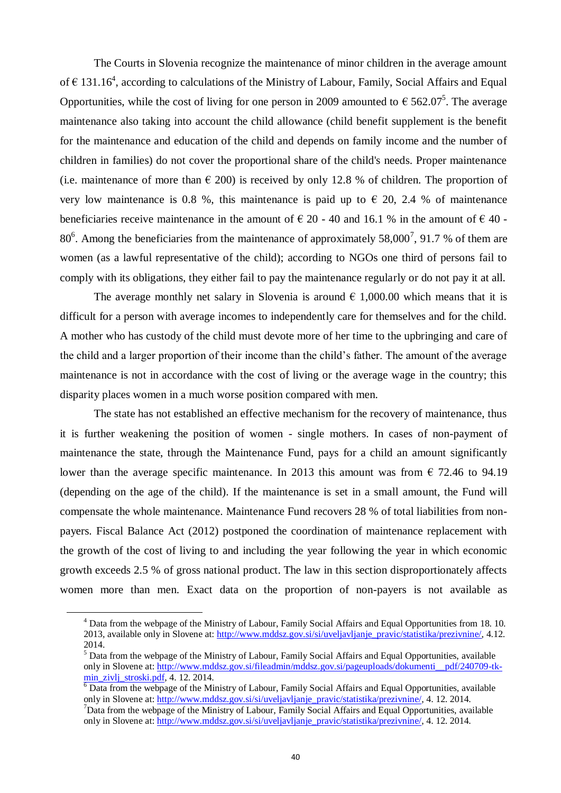The Courts in Slovenia recognize the maintenance of minor children in the average amount of  $\epsilon$  131.16<sup>4</sup>, according to calculations of the Ministry of Labour, Family, Social Affairs and Equal Opportunities, while the cost of living for one person in 2009 amounted to  $\epsilon$  562.07<sup>5</sup>. The average maintenance also taking into account the child allowance (child benefit supplement is the benefit for the maintenance and education of the child and depends on family income and the number of children in families) do not cover the proportional share of the child's needs. Proper maintenance (i.e. maintenance of more than  $\epsilon$  200) is received by only 12.8 % of children. The proportion of very low maintenance is 0.8 %, this maintenance is paid up to  $\epsilon$  20, 2.4 % of maintenance beneficiaries receive maintenance in the amount of  $\epsilon$  20 - 40 and 16.1 % in the amount of  $\epsilon$  40 - $80^6$ . Among the beneficiaries from the maintenance of approximately 58,000<sup>7</sup>, 91.7 % of them are women (as a lawful representative of the child); according to NGOs one third of persons fail to comply with its obligations, they either fail to pay the maintenance regularly or do not pay it at all.

The average monthly net salary in Slovenia is around  $\epsilon$  1,000.00 which means that it is difficult for a person with average incomes to independently care for themselves and for the child. A mother who has custody of the child must devote more of her time to the upbringing and care of the child and a larger proportion of their income than the child's father. The amount of the average maintenance is not in accordance with the cost of living or the average wage in the country; this disparity places women in a much worse position compared with men.

The state has not established an effective mechanism for the recovery of maintenance, thus it is further weakening the position of women - single mothers. In cases of non-payment of maintenance the state, through the Maintenance Fund, pays for a child an amount significantly lower than the average specific maintenance. In 2013 this amount was from  $\epsilon$  72.46 to 94.19 (depending on the age of the child). If the maintenance is set in a small amount, the Fund will compensate the whole maintenance. Maintenance Fund recovers 28 % of total liabilities from nonpayers. Fiscal Balance Act (2012) postponed the coordination of maintenance replacement with the growth of the cost of living to and including the year following the year in which economic growth exceeds 2.5 % of gross national product. The law in this section disproportionately affects women more than men. Exact data on the proportion of non-payers is not available as

1

<sup>4</sup> Data from the webpage of the Ministry of Labour, Family Social Affairs and Equal Opportunities from 18. 10. 2013, available only in Slovene at: [http://www.mddsz.gov.si/si/uveljavljanje\\_pravic/statistika/prezivnine/,](http://www.mddsz.gov.si/si/uveljavljanje_pravic/statistika/prezivnine/) 4.12. 2014.

<sup>&</sup>lt;sup>5</sup> Data from the webpage of the Ministry of Labour, Family Social Affairs and Equal Opportunities, available only in Slovene at: [http://www.mddsz.gov.si/fileadmin/mddsz.gov.si/pageuploads/dokumenti\\_\\_pdf/240709-tk](http://www.mddsz.gov.si/fileadmin/mddsz.gov.si/pageuploads/dokumenti__pdf/240709-tk-min_zivlj_stroski.pdf)[min\\_zivlj\\_stroski.pdf,](http://www.mddsz.gov.si/fileadmin/mddsz.gov.si/pageuploads/dokumenti__pdf/240709-tk-min_zivlj_stroski.pdf) 4. 12. 2014.

 $\overline{6}$  Data from the webpage of the Ministry of Labour, Family Social Affairs and Equal Opportunities, available only in Slovene at: [http://www.mddsz.gov.si/si/uveljavljanje\\_pravic/statistika/prezivnine/,](http://www.mddsz.gov.si/si/uveljavljanje_pravic/statistika/prezivnine/) 4. 12. 2014.  $7$ Data from the webpage of the Ministry of Labour, Family Social Affairs and Equal Opportunities, available

only in Slovene at: [http://www.mddsz.gov.si/si/uveljavljanje\\_pravic/statistika/prezivnine/,](http://www.mddsz.gov.si/si/uveljavljanje_pravic/statistika/prezivnine/) 4. 12. 2014.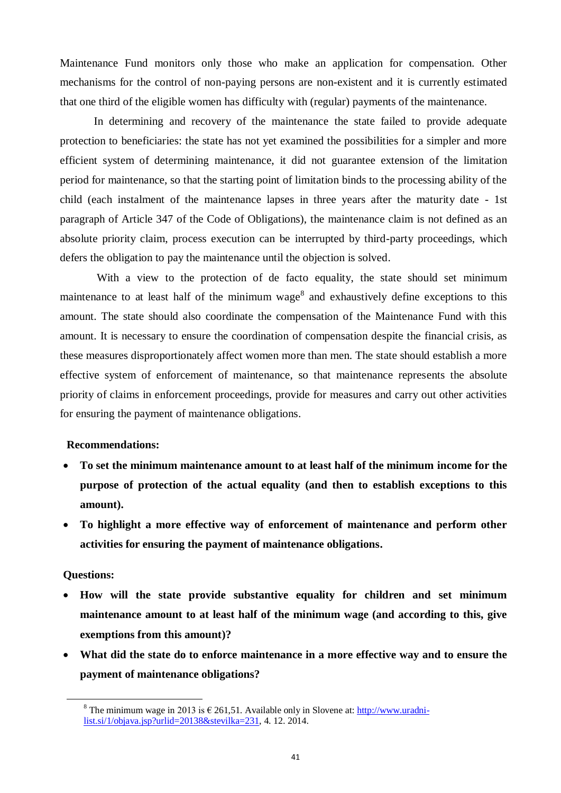Maintenance Fund monitors only those who make an application for compensation. Other mechanisms for the control of non-paying persons are non-existent and it is currently estimated that one third of the eligible women has difficulty with (regular) payments of the maintenance.

In determining and recovery of the maintenance the state failed to provide adequate protection to beneficiaries: the state has not yet examined the possibilities for a simpler and more efficient system of determining maintenance, it did not guarantee extension of the limitation period for maintenance, so that the starting point of limitation binds to the processing ability of the child (each instalment of the maintenance lapses in three years after the maturity date - 1st paragraph of Article 347 of the Code of Obligations), the maintenance claim is not defined as an absolute priority claim, process execution can be interrupted by third-party proceedings, which defers the obligation to pay the maintenance until the objection is solved.

With a view to the protection of de facto equality, the state should set minimum maintenance to at least half of the minimum wage<sup>8</sup> and exhaustively define exceptions to this amount. The state should also coordinate the compensation of the Maintenance Fund with this amount. It is necessary to ensure the coordination of compensation despite the financial crisis, as these measures disproportionately affect women more than men. The state should establish a more effective system of enforcement of maintenance, so that maintenance represents the absolute priority of claims in enforcement proceedings, provide for measures and carry out other activities for ensuring the payment of maintenance obligations.

#### **Recommendations:**

- **To set the minimum maintenance amount to at least half of the minimum income for the purpose of protection of the actual equality (and then to establish exceptions to this amount).**
- **To highlight a more effective way of enforcement of maintenance and perform other activities for ensuring the payment of maintenance obligations.**

#### **Questions:**

<u>.</u>

- **How will the state provide substantive equality for children and set minimum maintenance amount to at least half of the minimum wage (and according to this, give exemptions from this amount)?**
- **What did the state do to enforce maintenance in a more effective way and to ensure the payment of maintenance obligations?**

<sup>&</sup>lt;sup>8</sup> The minimum wage in 2013 is  $\epsilon$  261,51. Available only in Slovene at[: http://www.uradni](http://www.uradni-list.si/1/objava.jsp?urlid=20138&stevilka=231)[list.si/1/objava.jsp?urlid=20138&stevilka=231,](http://www.uradni-list.si/1/objava.jsp?urlid=20138&stevilka=231) 4. 12. 2014.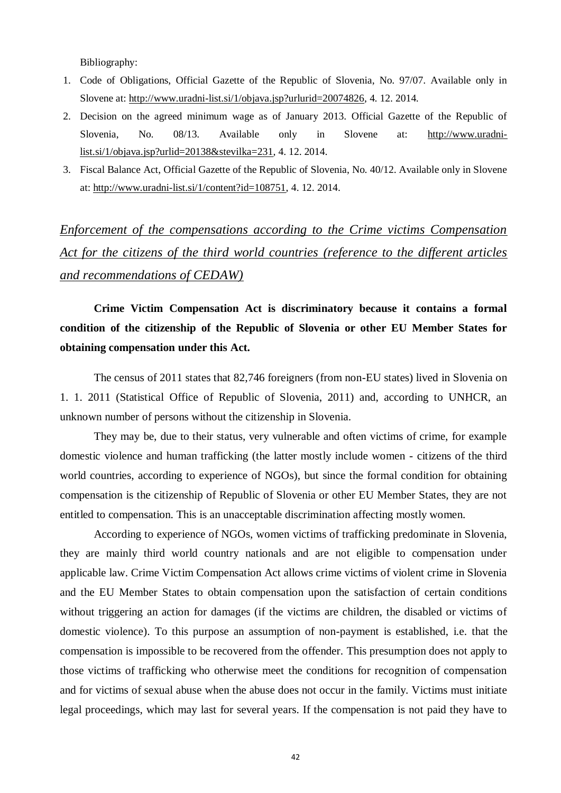Bibliography:

- 1. Code of Obligations, Official Gazette of the Republic of Slovenia, No. 97/07. Available only in Slovene at: [http://www.uradni-list.si/1/objava.jsp?urlurid=20074826,](http://www.uradni-list.si/1/objava.jsp?urlurid=20074826) 4. 12. 2014.
- 2. Decision on the agreed minimum wage as of January 2013. Official Gazette of the Republic of Slovenia, No. 08/13. Available only in Slovene at: [http://www.uradni](http://www.uradni-list.si/1/objava.jsp?urlid=20138&stevilka=231)[list.si/1/objava.jsp?urlid=20138&stevilka=231,](http://www.uradni-list.si/1/objava.jsp?urlid=20138&stevilka=231) 4. 12. 2014.
- 3. Fiscal Balance Act, Official Gazette of the Republic of Slovenia, No. 40/12. Available only in Slovene at: [http://www.uradni-list.si/1/content?id=108751,](http://www.uradni-list.si/1/content?id=108751) 4. 12. 2014.

*Enforcement of the compensations according to the Crime victims Compensation Act for the citizens of the third world countries (reference to the different articles and recommendations of CEDAW)*

**Crime Victim Compensation Act is discriminatory because it contains a formal condition of the citizenship of the Republic of Slovenia or other EU Member States for obtaining compensation under this Act.**

The census of 2011 states that 82,746 foreigners (from non-EU states) lived in Slovenia on 1. 1. 2011 (Statistical Office of Republic of Slovenia, 2011) and, according to UNHCR, an unknown number of persons without the citizenship in Slovenia.

They may be, due to their status, very vulnerable and often victims of crime, for example domestic violence and human trafficking (the latter mostly include women - citizens of the third world countries, according to experience of NGOs), but since the formal condition for obtaining compensation is the citizenship of Republic of Slovenia or other EU Member States, they are not entitled to compensation. This is an unacceptable discrimination affecting mostly women.

According to experience of NGOs, women victims of trafficking predominate in Slovenia, they are mainly third world country nationals and are not eligible to compensation under applicable law. Crime Victim Compensation Act allows crime victims of violent crime in Slovenia and the EU Member States to obtain compensation upon the satisfaction of certain conditions without triggering an action for damages (if the victims are children, the disabled or victims of domestic violence). To this purpose an assumption of non-payment is established, i.e. that the compensation is impossible to be recovered from the offender. This presumption does not apply to those victims of trafficking who otherwise meet the conditions for recognition of compensation and for victims of sexual abuse when the abuse does not occur in the family. Victims must initiate legal proceedings, which may last for several years. If the compensation is not paid they have to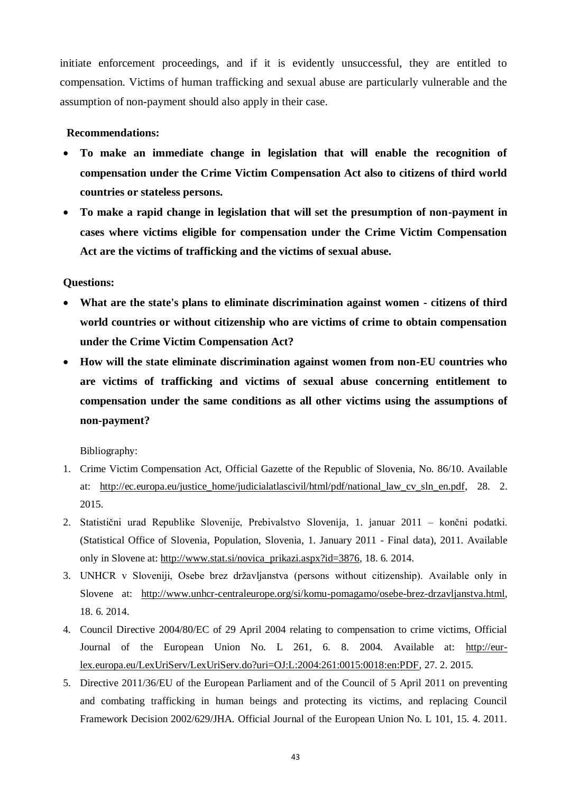initiate enforcement proceedings, and if it is evidently unsuccessful, they are entitled to compensation. Victims of human trafficking and sexual abuse are particularly vulnerable and the assumption of non-payment should also apply in their case.

#### **Recommendations:**

- **To make an immediate change in legislation that will enable the recognition of compensation under the Crime Victim Compensation Act also to citizens of third world countries or stateless persons.**
- **To make a rapid change in legislation that will set the presumption of non-payment in cases where victims eligible for compensation under the Crime Victim Compensation Act are the victims of trafficking and the victims of sexual abuse.**

#### **Questions:**

- **What are the state's plans to eliminate discrimination against women - citizens of third world countries or without citizenship who are victims of crime to obtain compensation under the Crime Victim Compensation Act?**
- **How will the state eliminate discrimination against women from non-EU countries who are victims of trafficking and victims of sexual abuse concerning entitlement to compensation under the same conditions as all other victims using the assumptions of non-payment?**

Bibliography:

- 1. Crime Victim Compensation Act, Official Gazette of the Republic of Slovenia, No. 86/10. Available at: [http://ec.europa.eu/justice\\_home/judicialatlascivil/html/pdf/national\\_law\\_cv\\_sln\\_en.pdf,](http://ec.europa.eu/justice_home/judicialatlascivil/html/pdf/national_law_cv_sln_en.pdf) 28. 2. 2015.
- 2. Statistični urad Republike Slovenije, Prebivalstvo Slovenija, 1. januar 2011 končni podatki. (Statistical Office of Slovenia, Population, Slovenia, 1. January 2011 - Final data), 2011. Available only in Slovene at: [http://www.stat.si/novica\\_prikazi.aspx?id=3876,](http://www.stat.si/novica_prikazi.aspx?id=3876) 18. 6. 2014.
- 3. UNHCR v Sloveniji, Osebe brez državljanstva (persons without citizenship). Available only in Slovene at: [http://www.unhcr-centraleurope.org/si/komu-pomagamo/osebe-brez-drzavljanstva.html,](http://www.unhcr-centraleurope.org/si/komu-pomagamo/osebe-brez-drzavljanstva.html) 18. 6. 2014.
- 4. Council Directive 2004/80/EC of 29 April 2004 relating to compensation to crime victims, Official Journal of the European Union No. L 261, 6. 8. 2004. Available at: [http://eur](http://eur-lex.europa.eu/LexUriServ/LexUriServ.do?uri=OJ:L:2004:261:0015:0018:en:PDF)[lex.europa.eu/LexUriServ/LexUriServ.do?uri=OJ:L:2004:261:0015:0018:en:PDF,](http://eur-lex.europa.eu/LexUriServ/LexUriServ.do?uri=OJ:L:2004:261:0015:0018:en:PDF) 27. 2. 2015.
- 5. Directive 2011/36/EU of the European Parliament and of the Council of 5 April 2011 on preventing and combating trafficking in human beings and protecting its victims, and replacing Council Framework Decision 2002/629/JHA. Official Journal of the European Union No. L 101, 15. 4. 2011.